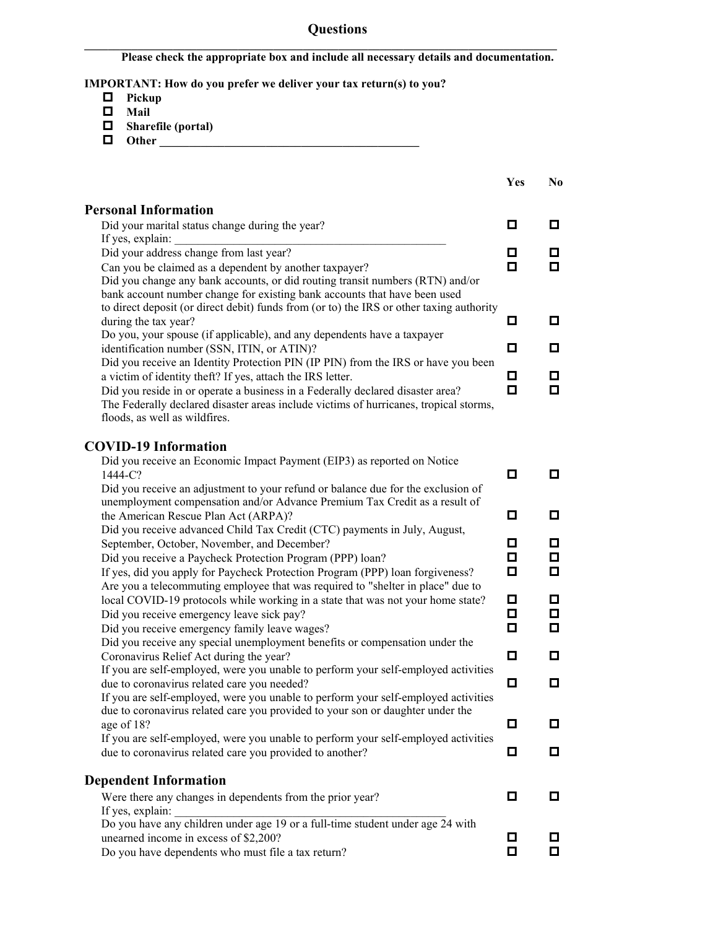## **Questions**

**Please check the appropriate box and include all necessary details and documentation.**

 $\mathcal{L} = \{ \mathcal{L} \mathcal{L} \mathcal{L} \mathcal{L} \mathcal{L} \mathcal{L} \mathcal{L} \mathcal{L} \mathcal{L} \mathcal{L} \mathcal{L} \mathcal{L} \mathcal{L} \mathcal{L} \mathcal{L} \mathcal{L} \mathcal{L} \mathcal{L} \mathcal{L} \mathcal{L} \mathcal{L} \mathcal{L} \mathcal{L} \mathcal{L} \mathcal{L} \mathcal{L} \mathcal{L} \mathcal{L} \mathcal{L} \mathcal{L} \mathcal{L} \mathcal{L} \mathcal{L} \mathcal{L} \mathcal{L} \$ 

**IMPORTANT: How do you prefer we deliver your tax return(s) to you?**

- **Pickup**
- **Mail**
- **Sharefile (portal)**
- **Other \_\_\_\_\_\_\_\_\_\_\_\_\_\_\_\_\_\_\_\_\_\_\_\_\_\_\_\_\_\_\_\_\_\_\_\_\_\_\_\_\_\_\_\_**

|                                                                                                                                         | Yes | N <sub>0</sub> |
|-----------------------------------------------------------------------------------------------------------------------------------------|-----|----------------|
| <b>Personal Information</b>                                                                                                             |     |                |
| Did your marital status change during the year?                                                                                         | 0   | 0              |
| If yes, explain:                                                                                                                        |     |                |
| Did your address change from last year?                                                                                                 | 0   | 0.             |
| Can you be claimed as a dependent by another taxpayer?<br>Did you change any bank accounts, or did routing transit numbers (RTN) and/or | 0   | о              |
| bank account number change for existing bank accounts that have been used                                                               |     |                |
| to direct deposit (or direct debit) funds from (or to) the IRS or other taxing authority                                                |     |                |
| during the tax year?                                                                                                                    | О   | о              |
| Do you, your spouse (if applicable), and any dependents have a taxpayer                                                                 |     |                |
| identification number (SSN, ITIN, or ATIN)?                                                                                             | о   | о              |
| Did you receive an Identity Protection PIN (IP PIN) from the IRS or have you been                                                       |     |                |
| a victim of identity theft? If yes, attach the IRS letter.                                                                              | 0   | 0              |
| Did you reside in or operate a business in a Federally declared disaster area?                                                          | о   | 0              |
| The Federally declared disaster areas include victims of hurricanes, tropical storms,                                                   |     |                |
| floods, as well as wildfires.                                                                                                           |     |                |
| <b>COVID-19 Information</b>                                                                                                             |     |                |
| Did you receive an Economic Impact Payment (EIP3) as reported on Notice                                                                 |     |                |
| 1444-C?                                                                                                                                 | □   | о              |
| Did you receive an adjustment to your refund or balance due for the exclusion of                                                        |     |                |
| unemployment compensation and/or Advance Premium Tax Credit as a result of                                                              |     |                |
| the American Rescue Plan Act (ARPA)?                                                                                                    | о   | о              |
| Did you receive advanced Child Tax Credit (CTC) payments in July, August,<br>September, October, November, and December?                | о   | o              |
| Did you receive a Paycheck Protection Program (PPP) loan?                                                                               | о   | □              |
| If yes, did you apply for Paycheck Protection Program (PPP) loan forgiveness?                                                           | о   | О              |
| Are you a telecommuting employee that was required to "shelter in place" due to                                                         |     |                |
| local COVID-19 protocols while working in a state that was not your home state?                                                         | 0   | о              |
| Did you receive emergency leave sick pay?                                                                                               | 0   | □              |
| Did you receive emergency family leave wages?                                                                                           | о   | о              |
| Did you receive any special unemployment benefits or compensation under the                                                             |     |                |
| Coronavirus Relief Act during the year?                                                                                                 | О   | О              |
| If you are self-employed, were you unable to perform your self-employed activities                                                      |     |                |
| due to coronavirus related care you needed?                                                                                             | о   | о              |
| If you are self-employed, were you unable to perform your self-employed activities                                                      |     |                |
| due to coronavirus related care you provided to your son or daughter under the                                                          | О   | o              |
| age of 18?<br>If you are self-employed, were you unable to perform your self-employed activities                                        |     |                |
| due to coronavirus related care you provided to another?                                                                                | о   | O.             |
|                                                                                                                                         |     |                |
| <b>Dependent Information</b>                                                                                                            |     |                |
| Were there any changes in dependents from the prior year?                                                                               | 0   | о              |
| If yes, explain:                                                                                                                        |     |                |
| Do you have any children under age 19 or a full-time student under age $\overline{2}4$ with                                             |     |                |
| unearned income in excess of \$2,200?                                                                                                   | 0   | O              |
| Do you have dependents who must file a tax return?                                                                                      | о   | 0.             |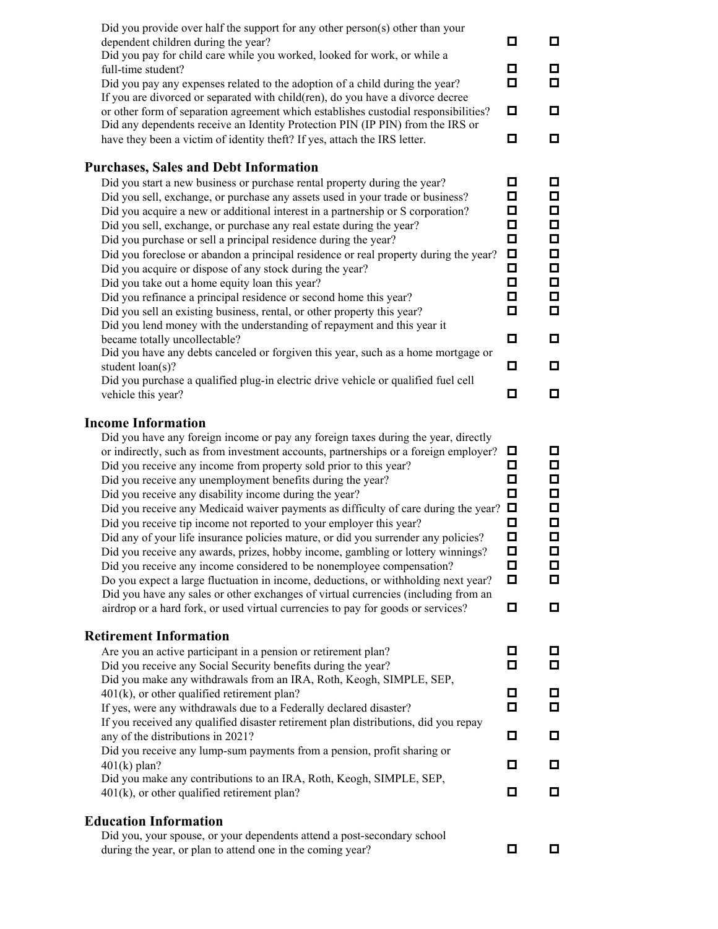| о<br>have they been a victim of identity theft? If yes, attach the IRS letter.<br><b>Purchases, Sales and Debt Information</b><br>о<br>Did you start a new business or purchase rental property during the year?<br>Did you sell, exchange, or purchase any assets used in your trade or business?<br>О<br>Did you acquire a new or additional interest in a partnership or S corporation?<br>Did you sell, exchange, or purchase any real estate during the year?<br>Did you purchase or sell a principal residence during the year?<br>Did you foreclose or abandon a principal residence or real property during the year?<br>Did you acquire or dispose of any stock during the year?<br>Did you take out a home equity loan this year?<br>Did you refinance a principal residence or second home this year?<br>Did you sell an existing business, rental, or other property this year?<br>Did you lend money with the understanding of repayment and this year it<br>became totally uncollectable?<br>Did you have any debts canceled or forgiven this year, such as a home mortgage or<br>student loan(s)? | □<br>□<br>□<br>□<br>Ω<br>Ω<br>о<br>О<br>о<br>о | □<br>□<br>О<br>О<br>О<br>П<br>$\Box$<br>$\Box$<br>$\Box$<br>$\Box$<br>$\Box$<br>□      |
|------------------------------------------------------------------------------------------------------------------------------------------------------------------------------------------------------------------------------------------------------------------------------------------------------------------------------------------------------------------------------------------------------------------------------------------------------------------------------------------------------------------------------------------------------------------------------------------------------------------------------------------------------------------------------------------------------------------------------------------------------------------------------------------------------------------------------------------------------------------------------------------------------------------------------------------------------------------------------------------------------------------------------------------------------------------------------------------------------------------|------------------------------------------------|----------------------------------------------------------------------------------------|
| Did you purchase a qualified plug-in electric drive vehicle or qualified fuel cell<br>vehicle this year?                                                                                                                                                                                                                                                                                                                                                                                                                                                                                                                                                                                                                                                                                                                                                                                                                                                                                                                                                                                                         | О                                              | □                                                                                      |
| Did you have any foreign income or pay any foreign taxes during the year, directly<br>or indirectly, such as from investment accounts, partnerships or a foreign employer?<br>Did you receive any income from property sold prior to this year?<br>Did you receive any unemployment benefits during the year?<br>Did you receive any disability income during the year?<br>Did you receive any Medicaid waiver payments as difficulty of care during the year? $\Box$<br>Did you receive tip income not reported to your employer this year?<br>Did any of your life insurance policies mature, or did you surrender any policies?<br>Did you receive any awards, prizes, hobby income, gambling or lottery winnings?<br>Did you receive any income considered to be nonemployee compensation?<br>Do you expect a large fluctuation in income, deductions, or withholding next year?<br>Did you have any sales or other exchanges of virtual currencies (including from an<br>airdrop or a hard fork, or used virtual currencies to pay for goods or services?<br><b>Retirement Information</b>                  | o<br>□<br>□<br>о<br>□<br>□<br>口<br>о<br>о<br>о | 0<br>$\Box$<br>$\Box$<br>П<br>$\Box$<br>$\Box$<br>$\Box$<br>$\Box$<br>0<br>$\Box$<br>□ |
| Are you an active participant in a pension or retirement plan?<br>Did you receive any Social Security benefits during the year?                                                                                                                                                                                                                                                                                                                                                                                                                                                                                                                                                                                                                                                                                                                                                                                                                                                                                                                                                                                  | о<br>о                                         | □                                                                                      |
| Did you make any withdrawals from an IRA, Roth, Keogh, SIMPLE, SEP,<br>401(k), or other qualified retirement plan?<br>If yes, were any withdrawals due to a Federally declared disaster?                                                                                                                                                                                                                                                                                                                                                                                                                                                                                                                                                                                                                                                                                                                                                                                                                                                                                                                         | □<br>о                                         | 0<br>0                                                                                 |
| If you received any qualified disaster retirement plan distributions, did you repay<br>any of the distributions in 2021?<br>Did you receive any lump-sum payments from a pension, profit sharing or<br>$401(k)$ plan?                                                                                                                                                                                                                                                                                                                                                                                                                                                                                                                                                                                                                                                                                                                                                                                                                                                                                            | О<br>o                                         | ◘<br>◘                                                                                 |
| Did you make any contributions to an IRA, Roth, Keogh, SIMPLE, SEP,<br>$401(k)$ , or other qualified retirement plan?                                                                                                                                                                                                                                                                                                                                                                                                                                                                                                                                                                                                                                                                                                                                                                                                                                                                                                                                                                                            | o                                              | $\Box$                                                                                 |
| <b>Education Information</b><br>Did you, your spouse, or your dependents attend a post-secondary school<br>during the year, or plan to attend one in the coming year?                                                                                                                                                                                                                                                                                                                                                                                                                                                                                                                                                                                                                                                                                                                                                                                                                                                                                                                                            | □                                              | 0                                                                                      |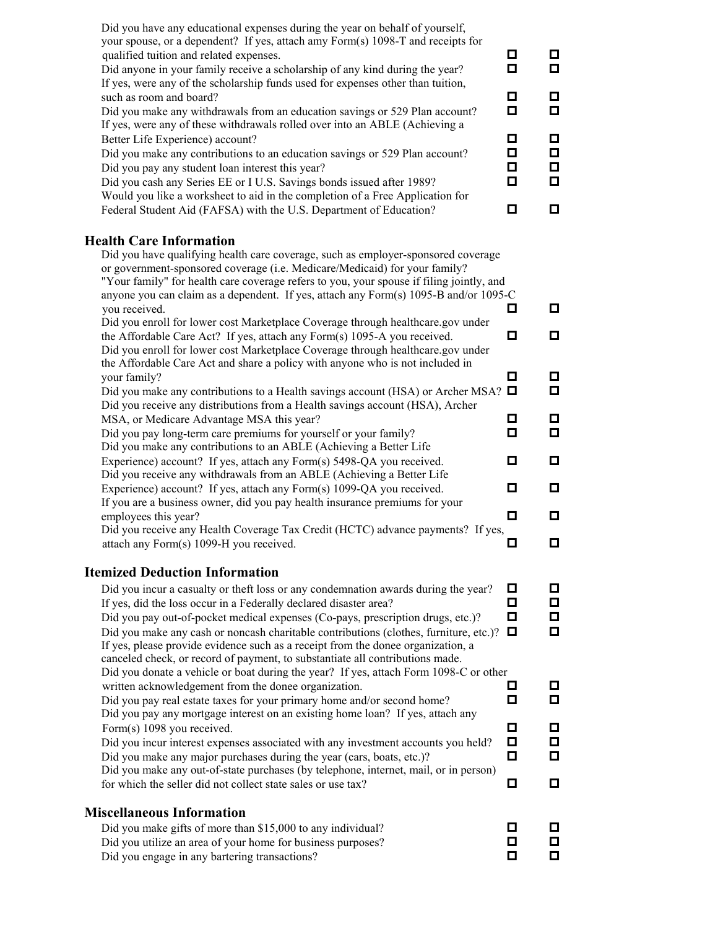| Did you have any educational expenses during the year on behalf of yourself,<br>your spouse, or a dependent? If yes, attach amy Form(s) 1098-T and receipts for<br>qualified tuition and related expenses.<br>Did anyone in your family receive a scholarship of any kind during the year?<br>If yes, were any of the scholarship funds used for expenses other than tuition,                                                                                                                            | О.<br>о             | ◘<br>◘           |
|----------------------------------------------------------------------------------------------------------------------------------------------------------------------------------------------------------------------------------------------------------------------------------------------------------------------------------------------------------------------------------------------------------------------------------------------------------------------------------------------------------|---------------------|------------------|
| such as room and board?<br>Did you make any withdrawals from an education savings or 529 Plan account?<br>If yes, were any of these withdrawals rolled over into an ABLE (Achieving a                                                                                                                                                                                                                                                                                                                    | 0<br>□              | О<br>◘           |
| Better Life Experience) account?<br>Did you make any contributions to an education savings or 529 Plan account?<br>Did you pay any student loan interest this year?<br>Did you cash any Series EE or I U.S. Savings bonds issued after 1989?<br>Would you like a worksheet to aid in the completion of a Free Application for                                                                                                                                                                            | о<br>О.<br>О.<br>О. | О<br>О<br>◘<br>◘ |
| Federal Student Aid (FAFSA) with the U.S. Department of Education?                                                                                                                                                                                                                                                                                                                                                                                                                                       | о                   | О                |
| <b>Health Care Information</b><br>Did you have qualifying health care coverage, such as employer-sponsored coverage<br>or government-sponsored coverage (i.e. Medicare/Medicaid) for your family?<br>"Your family" for health care coverage refers to you, your spouse if filing jointly, and<br>anyone you can claim as a dependent. If yes, attach any Form(s) 1095-B and/or 1095-C                                                                                                                    |                     |                  |
| you received.<br>Did you enroll for lower cost Marketplace Coverage through healthcare.gov under                                                                                                                                                                                                                                                                                                                                                                                                         | 0.                  | ◻                |
| the Affordable Care Act? If yes, attach any Form(s) 1095-A you received.<br>Did you enroll for lower cost Marketplace Coverage through healthcare.gov under<br>the Affordable Care Act and share a policy with anyone who is not included in                                                                                                                                                                                                                                                             | о                   | ◻                |
| your family?<br>Did you make any contributions to a Health savings account (HSA) or Archer MSA? $\Box$<br>Did you receive any distributions from a Health savings account (HSA), Archer                                                                                                                                                                                                                                                                                                                  | 0                   | О<br>О           |
| MSA, or Medicare Advantage MSA this year?<br>Did you pay long-term care premiums for yourself or your family?<br>Did you make any contributions to an ABLE (Achieving a Better Life                                                                                                                                                                                                                                                                                                                      | О.<br>о             | О<br>О           |
| Experience) account? If yes, attach any Form(s) 5498-QA you received.                                                                                                                                                                                                                                                                                                                                                                                                                                    | 0                   | ◘                |
| Did you receive any withdrawals from an ABLE (Achieving a Better Life<br>Experience) account? If yes, attach any Form(s) 1099-QA you received.<br>If you are a business owner, did you pay health insurance premiums for your                                                                                                                                                                                                                                                                            | 0                   | ◻                |
| employees this year?<br>Did you receive any Health Coverage Tax Credit (HCTC) advance payments? If yes,                                                                                                                                                                                                                                                                                                                                                                                                  | 0                   | ◘                |
| attach any Form(s) 1099-H you received.                                                                                                                                                                                                                                                                                                                                                                                                                                                                  | О                   | ◻                |
| <b>Itemized Deduction Information</b>                                                                                                                                                                                                                                                                                                                                                                                                                                                                    |                     |                  |
| Did you incur a casualty or theft loss or any condemnation awards during the year?<br>If yes, did the loss occur in a Federally declared disaster area?<br>Did you pay out-of-pocket medical expenses (Co-pays, prescription drugs, etc.)?<br>Did you make any cash or noncash charitable contributions (clothes, furniture, etc.)?<br>If yes, please provide evidence such as a receipt from the donee organization, a<br>canceled check, or record of payment, to substantiate all contributions made. | 0<br>о<br>о<br>0    | ◻<br>О<br>О<br>◘ |
| Did you donate a vehicle or boat during the year? If yes, attach Form 1098-C or other<br>written acknowledgement from the donee organization.<br>Did you pay real estate taxes for your primary home and/or second home?                                                                                                                                                                                                                                                                                 | О<br>о              | ◻<br>О           |
| Did you pay any mortgage interest on an existing home loan? If yes, attach any<br>Form(s) 1098 you received.<br>Did you incur interest expenses associated with any investment accounts you held?                                                                                                                                                                                                                                                                                                        | 0<br>о              | ◻<br>$\Box$      |
| Did you make any major purchases during the year (cars, boats, etc.)?                                                                                                                                                                                                                                                                                                                                                                                                                                    | о                   | О                |
| Did you make any out-of-state purchases (by telephone, internet, mail, or in person)<br>for which the seller did not collect state sales or use tax?                                                                                                                                                                                                                                                                                                                                                     | 0                   | ◻                |
| <b>Miscellaneous Information</b>                                                                                                                                                                                                                                                                                                                                                                                                                                                                         |                     |                  |
| Did you make gifts of more than \$15,000 to any individual?                                                                                                                                                                                                                                                                                                                                                                                                                                              | 0                   | □                |
| Did you utilize an area of your home for business purposes?<br>Did you engage in any bartering transactions?                                                                                                                                                                                                                                                                                                                                                                                             | о<br>О              | o<br>o           |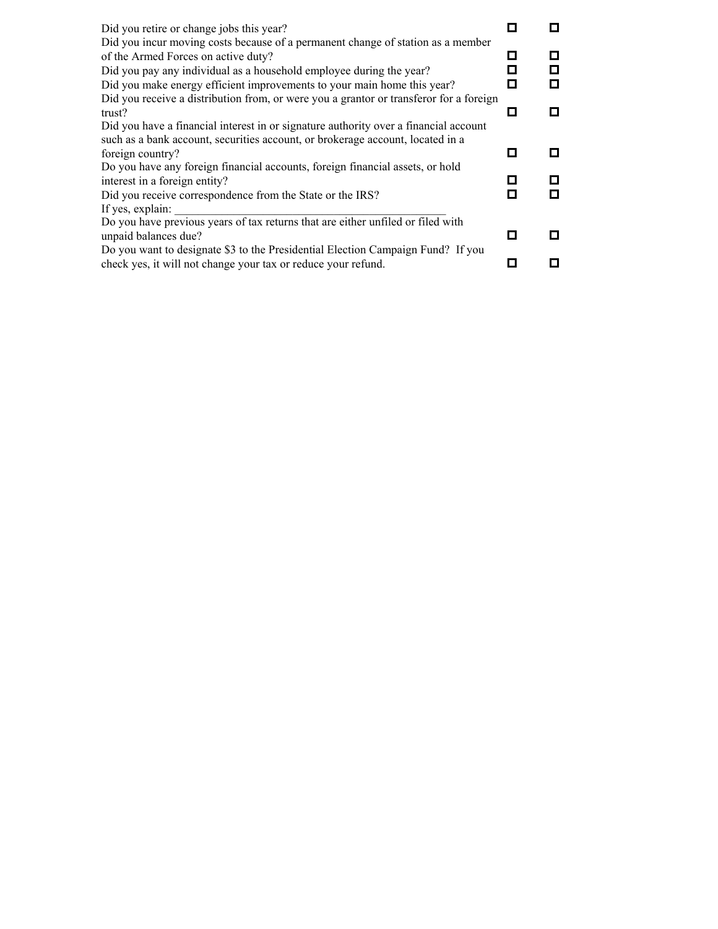| Did you retire or change jobs this year?                                               |   |    |
|----------------------------------------------------------------------------------------|---|----|
| Did you incur moving costs because of a permanent change of station as a member        |   |    |
| of the Armed Forces on active duty?                                                    | Ξ | П  |
|                                                                                        |   | О  |
| Did you pay any individual as a household employee during the year?                    |   |    |
| Did you make energy efficient improvements to your main home this year?                |   | О  |
| Did you receive a distribution from, or were you a grantor or transferor for a foreign |   |    |
| trust?                                                                                 | П | п  |
| Did you have a financial interest in or signature authority over a financial account   |   |    |
| such as a bank account, securities account, or brokerage account, located in a         |   |    |
| foreign country?                                                                       |   | п  |
| Do you have any foreign financial accounts, foreign financial assets, or hold          |   |    |
| interest in a foreign entity?                                                          |   | П  |
| Did you receive correspondence from the State or the IRS?                              |   | О  |
| If yes, explain:                                                                       |   |    |
| Do you have previous years of tax returns that are either unfiled or filed with        |   |    |
| unpaid balances due?                                                                   |   | П  |
| Do you want to designate \$3 to the Presidential Election Campaign Fund? If you        |   |    |
| check yes, it will not change your tax or reduce your refund.                          |   | I. |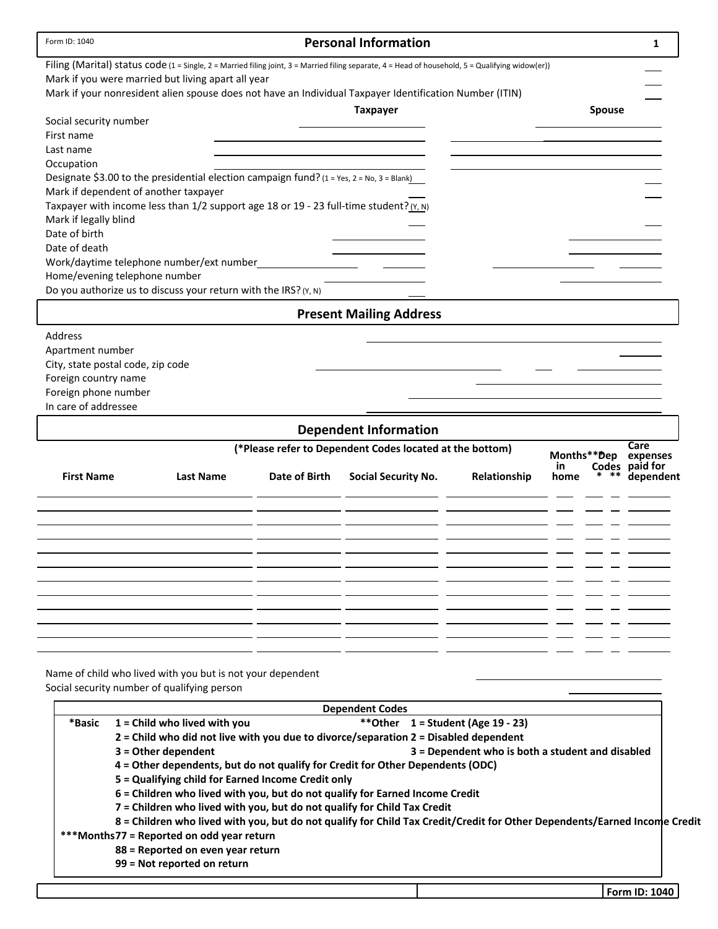| <b>Personal Information</b><br>Form ID: 1040                                                                                                      | 1         |
|---------------------------------------------------------------------------------------------------------------------------------------------------|-----------|
| Filing (Marital) status code (1 = Single, 2 = Married filing joint, 3 = Married filing separate, 4 = Head of household, 5 = Qualifying widow(er)) |           |
| Mark if you were married but living apart all year                                                                                                |           |
| Mark if your nonresident alien spouse does not have an Individual Taxpayer Identification Number (ITIN)                                           |           |
| <b>Taxpayer</b><br><b>Spouse</b>                                                                                                                  |           |
| Social security number                                                                                                                            |           |
| First name                                                                                                                                        |           |
| Last name                                                                                                                                         |           |
| Occupation<br>Designate \$3.00 to the presidential election campaign fund? (1 = Yes, 2 = No, 3 = Blank)                                           |           |
| Mark if dependent of another taxpayer                                                                                                             |           |
| Taxpayer with income less than 1/2 support age 18 or 19 - 23 full-time student? (Y, N)                                                            |           |
| Mark if legally blind                                                                                                                             |           |
| Date of birth                                                                                                                                     |           |
| Date of death                                                                                                                                     |           |
| Work/daytime telephone number/ext number                                                                                                          |           |
| Home/evening telephone number                                                                                                                     |           |
| Do you authorize us to discuss your return with the IRS? (Y, N)                                                                                   |           |
| <b>Present Mailing Address</b>                                                                                                                    |           |
| Address                                                                                                                                           |           |
| Apartment number                                                                                                                                  |           |
| City, state postal code, zip code                                                                                                                 |           |
| Foreign country name                                                                                                                              |           |
| Foreign phone number                                                                                                                              |           |
| In care of addressee                                                                                                                              |           |
| <b>Dependent Information</b>                                                                                                                      |           |
| Care<br>(*Please refer to Dependent Codes located at the bottom)<br>Months**Dep                                                                   | expenses  |
| Codes paid for<br>in.<br><b>First Name</b><br>Date of Birth<br><b>Last Name</b><br><b>Social Security No.</b><br>Relationship<br>home             | dependent |
|                                                                                                                                                   |           |
|                                                                                                                                                   |           |
|                                                                                                                                                   |           |
|                                                                                                                                                   |           |
|                                                                                                                                                   |           |
|                                                                                                                                                   |           |
|                                                                                                                                                   |           |
|                                                                                                                                                   |           |
|                                                                                                                                                   |           |
|                                                                                                                                                   |           |
|                                                                                                                                                   |           |
|                                                                                                                                                   |           |
|                                                                                                                                                   |           |
| Name of child who lived with you but is not your dependent<br>Social security number of qualifying person                                         |           |

|        |                                                                              | <b>Dependent Codes</b>                                                                                                    |
|--------|------------------------------------------------------------------------------|---------------------------------------------------------------------------------------------------------------------------|
| *Basic | $1 =$ Child who lived with you                                               | **Other $1 =$ Student (Age 19 - 23)                                                                                       |
|        |                                                                              | 2 = Child who did not live with you due to divorce/separation 2 = Disabled dependent                                      |
|        | $3 =$ Other dependent                                                        | 3 = Dependent who is both a student and disabled                                                                          |
|        |                                                                              | 4 = Other dependents, but do not qualify for Credit for Other Dependents (ODC)                                            |
|        | 5 = Qualifying child for Earned Income Credit only                           |                                                                                                                           |
|        | 6 = Children who lived with you, but do not qualify for Earned Income Credit |                                                                                                                           |
|        | 7 = Children who lived with you, but do not qualify for Child Tax Credit     |                                                                                                                           |
|        |                                                                              | 8 = Children who lived with you, but do not qualify for Child Tax Credit/Credit for Other Dependents/Earned Income Credit |
|        | ***Months77 = Reported on odd year return                                    |                                                                                                                           |
|        | 88 = Reported on even year return                                            |                                                                                                                           |
|        | 99 = Not reported on return                                                  |                                                                                                                           |
|        |                                                                              |                                                                                                                           |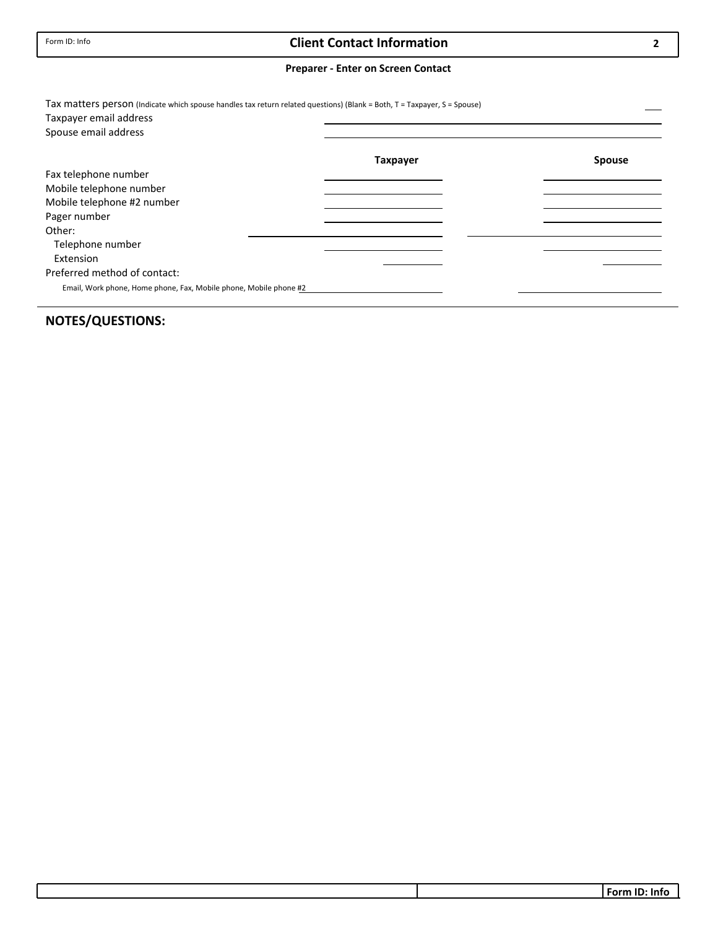## **Client Contact Information**

#### **Preparer ‐ Enter on Screen Contact**

| Tax matters person (Indicate which spouse handles tax return related questions) (Blank = Both, T = Taxpayer, S = Spouse)<br>Taxpayer email address |                 |               |
|----------------------------------------------------------------------------------------------------------------------------------------------------|-----------------|---------------|
| Spouse email address                                                                                                                               |                 |               |
|                                                                                                                                                    | <b>Taxpayer</b> | <b>Spouse</b> |
| Fax telephone number                                                                                                                               |                 |               |
| Mobile telephone number                                                                                                                            |                 |               |
| Mobile telephone #2 number                                                                                                                         |                 |               |
| Pager number                                                                                                                                       |                 |               |
| Other:                                                                                                                                             |                 |               |
| Telephone number                                                                                                                                   |                 |               |
| Extension                                                                                                                                          |                 |               |
| Preferred method of contact:                                                                                                                       |                 |               |
| Email, Work phone, Home phone, Fax, Mobile phone, Mobile phone #2                                                                                  |                 |               |

## **NOTES/QUESTIONS:**

**2**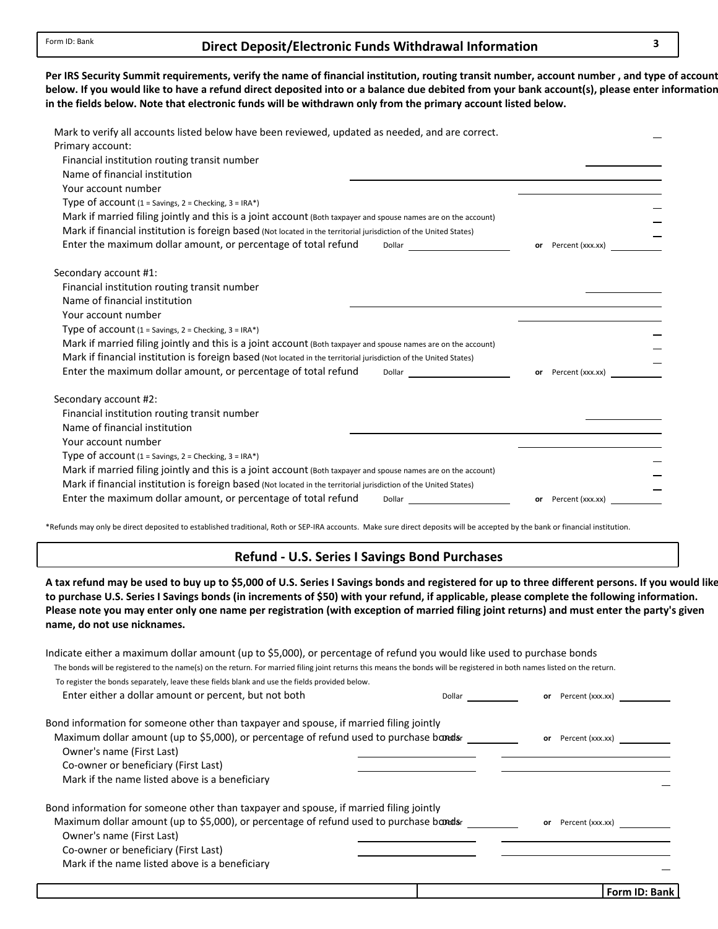### **Direct Deposit/Electronic 3 Funds Withdrawal Information**

below. If you would like to have a refund direct deposited into or a balance due debited from your bank account(s), please enter information in the fields below. Note that electronic funds will be withdrawn only from the primary account listed below. Per IRS Security Summit requirements, verify the name of financial institution, routing transit number, account number, and type of account

| Mark to verify all accounts listed below have been reviewed, updated as needed, and are correct.<br>Primary account:<br>Financial institution routing transit number<br>Name of financial institution |                        |
|-------------------------------------------------------------------------------------------------------------------------------------------------------------------------------------------------------|------------------------|
| Your account number                                                                                                                                                                                   |                        |
| Type of account (1 = Savings, 2 = Checking, 3 = IRA*)                                                                                                                                                 |                        |
| Mark if married filing jointly and this is a joint account (Both taxpayer and spouse names are on the account)                                                                                        |                        |
| Mark if financial institution is foreign based (Not located in the territorial jurisdiction of the United States)                                                                                     |                        |
| Enter the maximum dollar amount, or percentage of total refund                                                                                                                                        | Percent (xxx.xx)<br>or |
| Secondary account #1:                                                                                                                                                                                 |                        |
| Financial institution routing transit number                                                                                                                                                          |                        |
| Name of financial institution                                                                                                                                                                         |                        |
| Your account number                                                                                                                                                                                   |                        |
| Type of account $(1 =$ Savings, $2 =$ Checking, $3 =$ IRA*)                                                                                                                                           |                        |
| Mark if married filing jointly and this is a joint account (Both taxpayer and spouse names are on the account)                                                                                        |                        |
| Mark if financial institution is foreign based (Not located in the territorial jurisdiction of the United States)                                                                                     |                        |
| Enter the maximum dollar amount, or percentage of total refund<br>Dollar                                                                                                                              | or Percent (xxx.xx)    |
| Secondary account #2:                                                                                                                                                                                 |                        |
| Financial institution routing transit number                                                                                                                                                          |                        |
| Name of financial institution                                                                                                                                                                         |                        |
| Your account number                                                                                                                                                                                   |                        |
| Type of account (1 = Savings, 2 = Checking, 3 = IRA*)                                                                                                                                                 |                        |
| Mark if married filing jointly and this is a joint account (Both taxpayer and spouse names are on the account)                                                                                        |                        |
| Mark if financial institution is foreign based (Not located in the territorial jurisdiction of the United States)                                                                                     |                        |
| Enter the maximum dollar amount, or percentage of total refund<br>Dollar                                                                                                                              | or Percent (xxx.xx)    |

\*Refunds may only be direct deposited to established traditional, Roth or SEP‐IRA accounts. Make sure direct deposits will be accepted by the bank or financial institution.

#### **Refund ‐ U.S. Series I Savings Bond Purchases**

A tax refund may be used to buy up to \$5,000 of U.S. Series I Savings bonds and registered for up to three different persons. If you would like to purchase U.S. Series I Savings bonds (in increments of \$50) with your refund, if applicable, please complete the following information. **name, do not use nicknames.** Please note you may enter only one name per registration (with exception of married filing joint returns) and must enter the party's given

| Indicate either a maximum dollar amount (up to \$5,000), or percentage of refund you would like used to purchase bonds                                                  |        |    |                  |  |
|-------------------------------------------------------------------------------------------------------------------------------------------------------------------------|--------|----|------------------|--|
| The bonds will be registered to the name(s) on the return. For married filing joint returns this means the bonds will be registered in both names listed on the return. |        |    |                  |  |
| To register the bonds separately, leave these fields blank and use the fields provided below.                                                                           |        |    |                  |  |
| Enter either a dollar amount or percent, but not both                                                                                                                   | Dollar | or | Percent (xxx.xx) |  |
| Bond information for someone other than taxpayer and spouse, if married filing jointly                                                                                  |        |    |                  |  |
| Maximum dollar amount (up to \$5,000), or percentage of refund used to purchase bandsr                                                                                  |        | or | Percent (xxx.xx) |  |
| Owner's name (First Last)                                                                                                                                               |        |    |                  |  |
| Co-owner or beneficiary (First Last)                                                                                                                                    |        |    |                  |  |
| Mark if the name listed above is a beneficiary                                                                                                                          |        |    |                  |  |
| Bond information for someone other than taxpayer and spouse, if married filing jointly                                                                                  |        |    |                  |  |
| Maximum dollar amount (up to \$5,000), or percentage of refund used to purchase bandsr                                                                                  |        | or | Percent (xxx.xx) |  |
| Owner's name (First Last)                                                                                                                                               |        |    |                  |  |
| Co-owner or beneficiary (First Last)                                                                                                                                    |        |    |                  |  |
| Mark if the name listed above is a beneficiary                                                                                                                          |        |    |                  |  |
|                                                                                                                                                                         |        |    |                  |  |
|                                                                                                                                                                         |        |    |                  |  |

**Form ID: Bank**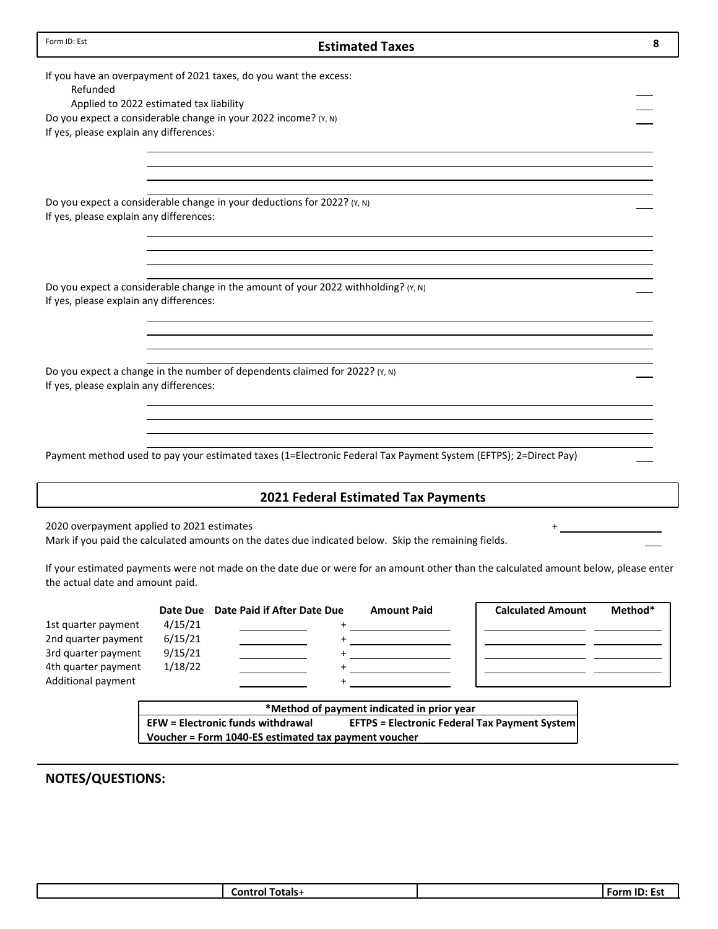| Form ID: Est                               |          |                                                                                                                                     | <b>Estimated Taxes</b>                     |                          | 8       |
|--------------------------------------------|----------|-------------------------------------------------------------------------------------------------------------------------------------|--------------------------------------------|--------------------------|---------|
| Refunded                                   |          | If you have an overpayment of 2021 taxes, do you want the excess:                                                                   |                                            |                          |         |
| Applied to 2022 estimated tax liability    |          |                                                                                                                                     |                                            |                          |         |
|                                            |          | Do you expect a considerable change in your 2022 income? (Y, N)                                                                     |                                            |                          |         |
| If yes, please explain any differences:    |          |                                                                                                                                     |                                            |                          |         |
|                                            |          |                                                                                                                                     |                                            |                          |         |
| If yes, please explain any differences:    |          | Do you expect a considerable change in your deductions for 2022? (Y, N)                                                             |                                            |                          |         |
|                                            |          |                                                                                                                                     |                                            |                          |         |
|                                            |          | Do you expect a considerable change in the amount of your 2022 withholding? (Y, N)                                                  |                                            |                          |         |
| If yes, please explain any differences:    |          |                                                                                                                                     |                                            |                          |         |
|                                            |          |                                                                                                                                     |                                            |                          |         |
| If yes, please explain any differences:    |          | Do you expect a change in the number of dependents claimed for 2022? (Y, N)                                                         |                                            |                          |         |
|                                            |          |                                                                                                                                     |                                            |                          |         |
|                                            |          | Payment method used to pay your estimated taxes (1=Electronic Federal Tax Payment System (EFTPS); 2=Direct Pay)                     |                                            |                          |         |
|                                            |          |                                                                                                                                     | <b>2021 Federal Estimated Tax Payments</b> |                          |         |
| 2020 overpayment applied to 2021 estimates |          | Mark if you paid the calculated amounts on the dates due indicated below. Skip the remaining fields.                                |                                            |                          |         |
| the actual date and amount paid.           |          | If your estimated payments were not made on the date due or were for an amount other than the calculated amount below, please enter |                                            |                          |         |
|                                            | Date Due | Date Paid if After Date Due                                                                                                         | <b>Amount Paid</b>                         | <b>Calculated Amount</b> | Method* |
| 1st quarter payment                        | 4/15/21  |                                                                                                                                     |                                            |                          |         |
| 2nd quarter payment                        | 6/15/21  | $^{+}$                                                                                                                              |                                            |                          |         |
| 3rd quarter payment                        | 9/15/21  | $\ddot{}$                                                                                                                           |                                            |                          |         |

Additional payment **\*Method of payment indicated in prior year EFTPS** = **Electronic Federal Tax Payment System Voucher = Form 1040‐ES estimated tax payment voucher**

**NOTES/QUESTIONS:**

4th quarter payment 1/18/22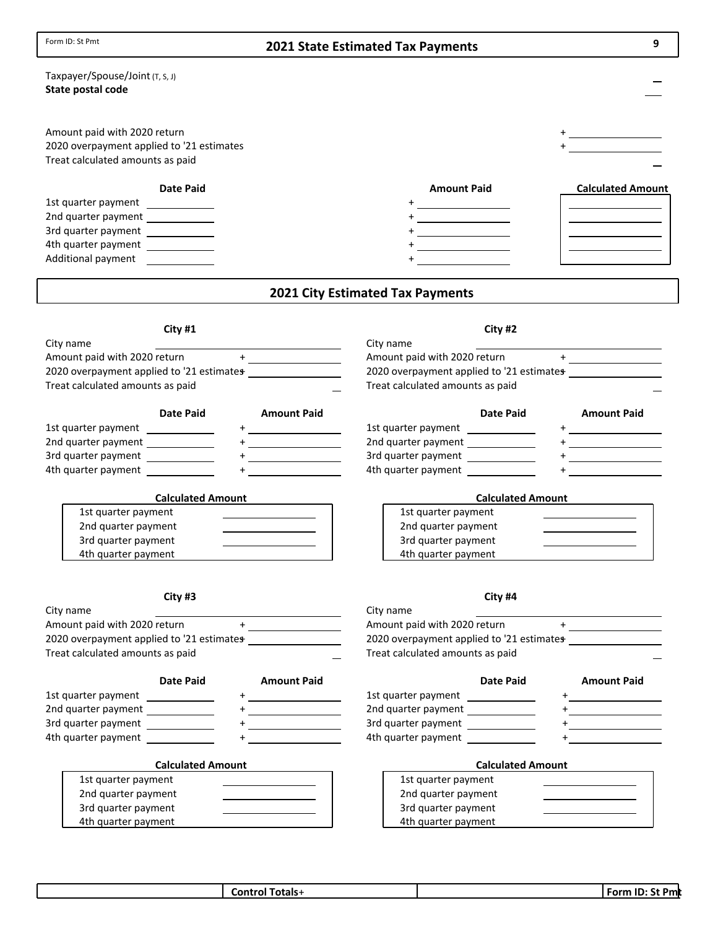| Form ID: St Pmt<br>9<br><b>2021 State Estimated Tax Payments</b>                                                                                                                                                                                                                                                                                                                 |                                                                                                                                                                                                                                                                                                                                                                                                                            |  |  |  |
|----------------------------------------------------------------------------------------------------------------------------------------------------------------------------------------------------------------------------------------------------------------------------------------------------------------------------------------------------------------------------------|----------------------------------------------------------------------------------------------------------------------------------------------------------------------------------------------------------------------------------------------------------------------------------------------------------------------------------------------------------------------------------------------------------------------------|--|--|--|
| Taxpayer/Spouse/Joint (T, S, J)                                                                                                                                                                                                                                                                                                                                                  |                                                                                                                                                                                                                                                                                                                                                                                                                            |  |  |  |
| State postal code                                                                                                                                                                                                                                                                                                                                                                |                                                                                                                                                                                                                                                                                                                                                                                                                            |  |  |  |
| Amount paid with 2020 return                                                                                                                                                                                                                                                                                                                                                     | <u>+____________</u>                                                                                                                                                                                                                                                                                                                                                                                                       |  |  |  |
| 2020 overpayment applied to '21 estimates<br>Treat calculated amounts as paid                                                                                                                                                                                                                                                                                                    |                                                                                                                                                                                                                                                                                                                                                                                                                            |  |  |  |
| <b>Date Paid</b>                                                                                                                                                                                                                                                                                                                                                                 | <b>Amount Paid</b><br><b>Calculated Amount</b>                                                                                                                                                                                                                                                                                                                                                                             |  |  |  |
| 1st quarter payment<br><u> 1990 - John Barn Barn, amerikansk politiker</u>                                                                                                                                                                                                                                                                                                       |                                                                                                                                                                                                                                                                                                                                                                                                                            |  |  |  |
| 2nd quarter payment _____________                                                                                                                                                                                                                                                                                                                                                |                                                                                                                                                                                                                                                                                                                                                                                                                            |  |  |  |
| 3rd quarter payment _____________                                                                                                                                                                                                                                                                                                                                                |                                                                                                                                                                                                                                                                                                                                                                                                                            |  |  |  |
| 4th quarter payment ____________                                                                                                                                                                                                                                                                                                                                                 |                                                                                                                                                                                                                                                                                                                                                                                                                            |  |  |  |
| Additional payment                                                                                                                                                                                                                                                                                                                                                               |                                                                                                                                                                                                                                                                                                                                                                                                                            |  |  |  |
|                                                                                                                                                                                                                                                                                                                                                                                  | <b>2021 City Estimated Tax Payments</b>                                                                                                                                                                                                                                                                                                                                                                                    |  |  |  |
| City #1                                                                                                                                                                                                                                                                                                                                                                          | City #2                                                                                                                                                                                                                                                                                                                                                                                                                    |  |  |  |
| City name                                                                                                                                                                                                                                                                                                                                                                        | City name                                                                                                                                                                                                                                                                                                                                                                                                                  |  |  |  |
| Amount paid with 2020 return                                                                                                                                                                                                                                                                                                                                                     | Amount paid with 2020 return<br>$\begin{picture}(20,20)(-0,0) \put(0,0){\dashbox{0.5}(20,0){ }} \put(15,0){\circle{10}} \put(15,0){\circle{10}} \put(15,0){\circle{10}} \put(15,0){\circle{10}} \put(15,0){\circle{10}} \put(15,0){\circle{10}} \put(15,0){\circle{10}} \put(15,0){\circle{10}} \put(15,0){\circle{10}} \put(15,0){\circle{10}} \put(15,0){\circle{10}} \put(15,0){\circle{10}} \put(15,0){\circle{10}} \$ |  |  |  |
| 2020 overpayment applied to '21 estimates                                                                                                                                                                                                                                                                                                                                        | 2020 overpayment applied to '21 estimates                                                                                                                                                                                                                                                                                                                                                                                  |  |  |  |
| Treat calculated amounts as paid                                                                                                                                                                                                                                                                                                                                                 | Treat calculated amounts as paid                                                                                                                                                                                                                                                                                                                                                                                           |  |  |  |
| <b>Date Paid</b><br><b>Amount Paid</b>                                                                                                                                                                                                                                                                                                                                           | <b>Date Paid</b><br><b>Amount Paid</b>                                                                                                                                                                                                                                                                                                                                                                                     |  |  |  |
| 1st quarter payment _____________                                                                                                                                                                                                                                                                                                                                                | 1st quarter payment _____________<br><u>+_________________</u>                                                                                                                                                                                                                                                                                                                                                             |  |  |  |
| 2nd quarter payment _____________<br>$+$ <u>- <math>-</math> - <math>-</math> - <math>-</math></u>                                                                                                                                                                                                                                                                               | 2nd quarter payment _____________<br>$+$ <u>- <math>-</math> - <math>-</math> - <math>-</math></u>                                                                                                                                                                                                                                                                                                                         |  |  |  |
| 3rd quarter payment                                                                                                                                                                                                                                                                                                                                                              | 3rd quarter payment _____________<br>$+$ $       -$                                                                                                                                                                                                                                                                                                                                                                        |  |  |  |
| 4th quarter payment                                                                                                                                                                                                                                                                                                                                                              | 4th quarter payment                                                                                                                                                                                                                                                                                                                                                                                                        |  |  |  |
| <b>Calculated Amount</b>                                                                                                                                                                                                                                                                                                                                                         | <b>Calculated Amount</b>                                                                                                                                                                                                                                                                                                                                                                                                   |  |  |  |
| 1st quarter payment                                                                                                                                                                                                                                                                                                                                                              | 1st quarter payment<br><u> 1989 - Johann Barn, amerikansk politiker (</u>                                                                                                                                                                                                                                                                                                                                                  |  |  |  |
| 2nd quarter payment                                                                                                                                                                                                                                                                                                                                                              | 2nd quarter payment<br><u> 1989 - Johann Barn, amerikansk politiker (</u>                                                                                                                                                                                                                                                                                                                                                  |  |  |  |
| 3rd quarter payment<br>4th quarter payment                                                                                                                                                                                                                                                                                                                                       | 3rd quarter payment<br>4th quarter payment                                                                                                                                                                                                                                                                                                                                                                                 |  |  |  |
|                                                                                                                                                                                                                                                                                                                                                                                  |                                                                                                                                                                                                                                                                                                                                                                                                                            |  |  |  |
| City #3                                                                                                                                                                                                                                                                                                                                                                          | City #4                                                                                                                                                                                                                                                                                                                                                                                                                    |  |  |  |
| City name                                                                                                                                                                                                                                                                                                                                                                        | City name                                                                                                                                                                                                                                                                                                                                                                                                                  |  |  |  |
| $\begin{picture}(20,20)(-0,0) \put(0,0){\line(1,0){10}} \put(15,0){\line(1,0){10}} \put(15,0){\line(1,0){10}} \put(15,0){\line(1,0){10}} \put(15,0){\line(1,0){10}} \put(15,0){\line(1,0){10}} \put(15,0){\line(1,0){10}} \put(15,0){\line(1,0){10}} \put(15,0){\line(1,0){10}} \put(15,0){\line(1,0){10}} \put(15,0){\line(1,0){10}} \put(15,0$<br>Amount paid with 2020 return | Amount paid with 2020 return<br>$\begin{picture}(20,20)(-0,0) \put(0,0){\line(1,0){10}} \put(15,0){\line(1,0){10}} \put(15,0){\line(1,0){10}} \put(15,0){\line(1,0){10}} \put(15,0){\line(1,0){10}} \put(15,0){\line(1,0){10}} \put(15,0){\line(1,0){10}} \put(15,0){\line(1,0){10}} \put(15,0){\line(1,0){10}} \put(15,0){\line(1,0){10}} \put(15,0){\line(1,0){10}} \put(15,0$                                           |  |  |  |
|                                                                                                                                                                                                                                                                                                                                                                                  | 2020 overpayment applied to '21 estimates                                                                                                                                                                                                                                                                                                                                                                                  |  |  |  |
| Treat calculated amounts as paid                                                                                                                                                                                                                                                                                                                                                 | Treat calculated amounts as paid                                                                                                                                                                                                                                                                                                                                                                                           |  |  |  |
| Date Paid<br><b>Amount Paid</b>                                                                                                                                                                                                                                                                                                                                                  | <b>Date Paid</b><br><b>Amount Paid</b>                                                                                                                                                                                                                                                                                                                                                                                     |  |  |  |
| 1st quarter payment                                                                                                                                                                                                                                                                                                                                                              | 1st quarter payment                                                                                                                                                                                                                                                                                                                                                                                                        |  |  |  |
| 2nd quarter payment _____________<br><u> The Communication of the Communication</u>                                                                                                                                                                                                                                                                                              | 2nd quarter payment _____________<br><u>+_________________</u>                                                                                                                                                                                                                                                                                                                                                             |  |  |  |
| 3rd quarter payment<br><u> 1990 - Jan Barton, politik e</u>                                                                                                                                                                                                                                                                                                                      | 3rd quarter payment _____________                                                                                                                                                                                                                                                                                                                                                                                          |  |  |  |
| 4th quarter payment                                                                                                                                                                                                                                                                                                                                                              | 4th quarter payment _____________                                                                                                                                                                                                                                                                                                                                                                                          |  |  |  |
| <b>Calculated Amount</b>                                                                                                                                                                                                                                                                                                                                                         | <b>Calculated Amount</b>                                                                                                                                                                                                                                                                                                                                                                                                   |  |  |  |
| 1st quarter payment                                                                                                                                                                                                                                                                                                                                                              | 1st quarter payment                                                                                                                                                                                                                                                                                                                                                                                                        |  |  |  |
| 2nd quarter payment                                                                                                                                                                                                                                                                                                                                                              | 2nd quarter payment                                                                                                                                                                                                                                                                                                                                                                                                        |  |  |  |
| 3rd quarter payment                                                                                                                                                                                                                                                                                                                                                              | 3rd quarter payment                                                                                                                                                                                                                                                                                                                                                                                                        |  |  |  |
| 4th quarter payment                                                                                                                                                                                                                                                                                                                                                              | 4th quarter payment                                                                                                                                                                                                                                                                                                                                                                                                        |  |  |  |

| €ontr<br>Totals+ | - ID<br>Form<br><b>Pm</b> |
|------------------|---------------------------|
|                  |                           |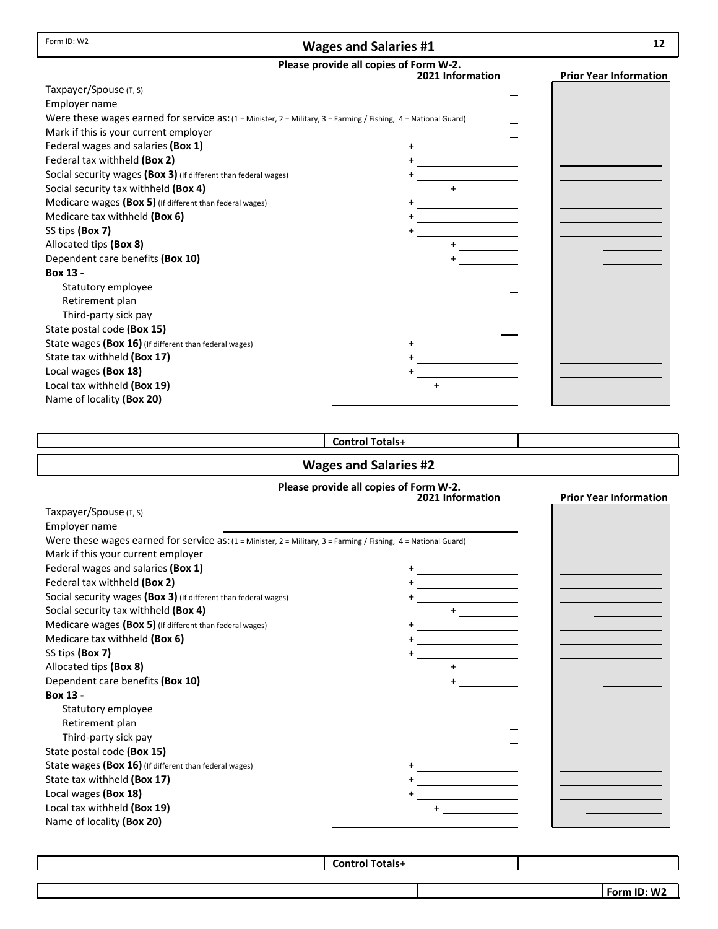Form ID: W2

## **Wages and Salaries #1**

# **Please provide all copies of Form W‐2.**

| Were these wages earned for service as: (1 = Minister, 2 = Military, 3 = Farming / Fishing, 4 = National Guard)<br>Mark if this is your current employer<br>Federal wages and salaries (Box 1)<br>Federal tax withheld (Box 2)<br>Social security wages (Box 3) (If different than federal wages)<br>Social security tax withheld (Box 4)<br>Medicare wages (Box 5) (If different than federal wages)<br>Medicare tax withheld (Box 6)<br>Allocated tips (Box 8)<br>Dependent care benefits (Box 10)<br>Box 13 -<br>Statutory employee<br>Retirement plan<br>Third-party sick pay<br>State postal code (Box 15)<br>State wages (Box 16) (If different than federal wages)<br>State tax withheld (Box 17)<br>Local wages (Box 18)<br>Local tax withheld (Box 19) |                           | ricase provide all copies of Form W-2.<br>2021 Information | <b>Prior Year Information</b> |
|-----------------------------------------------------------------------------------------------------------------------------------------------------------------------------------------------------------------------------------------------------------------------------------------------------------------------------------------------------------------------------------------------------------------------------------------------------------------------------------------------------------------------------------------------------------------------------------------------------------------------------------------------------------------------------------------------------------------------------------------------------------------|---------------------------|------------------------------------------------------------|-------------------------------|
|                                                                                                                                                                                                                                                                                                                                                                                                                                                                                                                                                                                                                                                                                                                                                                 | Taxpayer/Spouse (T, S)    |                                                            |                               |
|                                                                                                                                                                                                                                                                                                                                                                                                                                                                                                                                                                                                                                                                                                                                                                 | Employer name             |                                                            |                               |
|                                                                                                                                                                                                                                                                                                                                                                                                                                                                                                                                                                                                                                                                                                                                                                 |                           |                                                            |                               |
|                                                                                                                                                                                                                                                                                                                                                                                                                                                                                                                                                                                                                                                                                                                                                                 |                           |                                                            |                               |
|                                                                                                                                                                                                                                                                                                                                                                                                                                                                                                                                                                                                                                                                                                                                                                 |                           |                                                            |                               |
|                                                                                                                                                                                                                                                                                                                                                                                                                                                                                                                                                                                                                                                                                                                                                                 |                           |                                                            |                               |
|                                                                                                                                                                                                                                                                                                                                                                                                                                                                                                                                                                                                                                                                                                                                                                 |                           |                                                            |                               |
|                                                                                                                                                                                                                                                                                                                                                                                                                                                                                                                                                                                                                                                                                                                                                                 |                           |                                                            |                               |
|                                                                                                                                                                                                                                                                                                                                                                                                                                                                                                                                                                                                                                                                                                                                                                 |                           |                                                            |                               |
|                                                                                                                                                                                                                                                                                                                                                                                                                                                                                                                                                                                                                                                                                                                                                                 |                           |                                                            |                               |
|                                                                                                                                                                                                                                                                                                                                                                                                                                                                                                                                                                                                                                                                                                                                                                 | SS tips (Box 7)           |                                                            |                               |
|                                                                                                                                                                                                                                                                                                                                                                                                                                                                                                                                                                                                                                                                                                                                                                 |                           |                                                            |                               |
|                                                                                                                                                                                                                                                                                                                                                                                                                                                                                                                                                                                                                                                                                                                                                                 |                           |                                                            |                               |
|                                                                                                                                                                                                                                                                                                                                                                                                                                                                                                                                                                                                                                                                                                                                                                 |                           |                                                            |                               |
|                                                                                                                                                                                                                                                                                                                                                                                                                                                                                                                                                                                                                                                                                                                                                                 |                           |                                                            |                               |
|                                                                                                                                                                                                                                                                                                                                                                                                                                                                                                                                                                                                                                                                                                                                                                 |                           |                                                            |                               |
|                                                                                                                                                                                                                                                                                                                                                                                                                                                                                                                                                                                                                                                                                                                                                                 |                           |                                                            |                               |
|                                                                                                                                                                                                                                                                                                                                                                                                                                                                                                                                                                                                                                                                                                                                                                 |                           |                                                            |                               |
|                                                                                                                                                                                                                                                                                                                                                                                                                                                                                                                                                                                                                                                                                                                                                                 |                           |                                                            |                               |
|                                                                                                                                                                                                                                                                                                                                                                                                                                                                                                                                                                                                                                                                                                                                                                 |                           |                                                            |                               |
|                                                                                                                                                                                                                                                                                                                                                                                                                                                                                                                                                                                                                                                                                                                                                                 |                           |                                                            |                               |
|                                                                                                                                                                                                                                                                                                                                                                                                                                                                                                                                                                                                                                                                                                                                                                 |                           |                                                            |                               |
|                                                                                                                                                                                                                                                                                                                                                                                                                                                                                                                                                                                                                                                                                                                                                                 | Name of locality (Box 20) |                                                            |                               |

## **Control Totals**+

## **Wages and Salaries #2**

#### **Please provide all copies of Form W‐2.**

|                                                                                                                         | 2021 Information | <b>Prior Year Information</b> |
|-------------------------------------------------------------------------------------------------------------------------|------------------|-------------------------------|
| Taxpayer/Spouse (T, S)                                                                                                  |                  |                               |
| Employer name                                                                                                           |                  |                               |
| Were these wages earned for service $as: (1 =$ Minister, $2 =$ Military, $3 =$ Farming / Fishing, $4 =$ National Guard) |                  |                               |
| Mark if this your current employer                                                                                      |                  |                               |
| Federal wages and salaries (Box 1)                                                                                      |                  |                               |
| Federal tax withheld (Box 2)                                                                                            |                  |                               |
| Social security wages (Box 3) (If different than federal wages)                                                         |                  |                               |
| Social security tax withheld (Box 4)                                                                                    |                  |                               |
| Medicare wages (Box 5) (If different than federal wages)                                                                |                  |                               |
| Medicare tax withheld (Box 6)                                                                                           |                  |                               |
| SS tips (Box 7)                                                                                                         |                  |                               |
| Allocated tips (Box 8)                                                                                                  |                  |                               |
| Dependent care benefits (Box 10)                                                                                        |                  |                               |
| Box 13 -                                                                                                                |                  |                               |
| Statutory employee                                                                                                      |                  |                               |
| Retirement plan                                                                                                         |                  |                               |
| Third-party sick pay                                                                                                    |                  |                               |
| State postal code (Box 15)                                                                                              |                  |                               |
| State wages (Box 16) (If different than federal wages)                                                                  |                  |                               |
| State tax withheld (Box 17)                                                                                             |                  |                               |
| Local wages (Box 18)                                                                                                    |                  |                               |
| Local tax withheld (Box 19)                                                                                             |                  |                               |
| Name of locality (Box 20)                                                                                               |                  |                               |

**Control Totals**+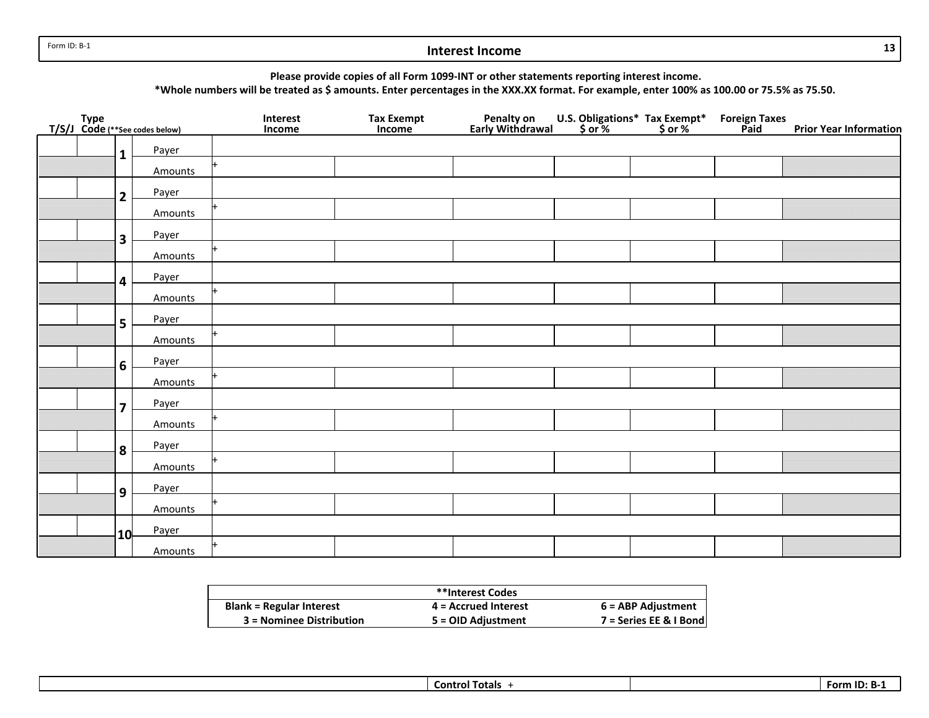Form ID: B‐1

#### **Interest Income**

**Please provide copies of all Form 1099‐INT or other statements reporting interest income.**

\*Whole numbers will be treated as \$ amounts. Enter percentages in the XXX.XX format. For example, enter 100% as 100.00 or 75.5% as 75.50.

| Type<br>T/S/J Code (**See codes below) |                         |         | Interest<br>Income | Tax Exempt<br>Income | Penalty on<br>Early Withdrawal | U.S. Obligations* Tax Exempt*<br>\$ or % \$ or % | <b>Foreign Taxes</b><br><b>Paid</b> | <b>Prior Year Information</b> |
|----------------------------------------|-------------------------|---------|--------------------|----------------------|--------------------------------|--------------------------------------------------|-------------------------------------|-------------------------------|
|                                        | $\mathbf{1}$            | Payer   |                    |                      |                                |                                                  |                                     |                               |
|                                        |                         | Amounts |                    |                      |                                |                                                  |                                     |                               |
|                                        | $\overline{2}$          | Payer   |                    |                      |                                |                                                  |                                     |                               |
|                                        |                         | Amounts |                    |                      |                                |                                                  |                                     |                               |
|                                        | $\overline{\mathbf{3}}$ | Payer   |                    |                      |                                |                                                  |                                     |                               |
|                                        |                         | Amounts |                    |                      |                                |                                                  |                                     |                               |
|                                        | 4                       | Payer   |                    |                      |                                |                                                  |                                     |                               |
|                                        |                         | Amounts |                    |                      |                                |                                                  |                                     |                               |
|                                        | 5                       | Payer   |                    |                      |                                |                                                  |                                     |                               |
|                                        |                         | Amounts |                    |                      |                                |                                                  |                                     |                               |
|                                        | 6                       | Payer   |                    |                      |                                |                                                  |                                     |                               |
|                                        |                         | Amounts |                    |                      |                                |                                                  |                                     |                               |
|                                        | $\overline{7}$          | Payer   |                    |                      |                                |                                                  |                                     |                               |
|                                        |                         | Amounts |                    |                      |                                |                                                  |                                     |                               |
|                                        | 8                       | Payer   |                    |                      |                                |                                                  |                                     |                               |
|                                        |                         | Amounts |                    |                      |                                |                                                  |                                     |                               |
|                                        | 9                       | Payer   |                    |                      |                                |                                                  |                                     |                               |
|                                        |                         | Amounts |                    |                      |                                |                                                  |                                     |                               |
|                                        | 10                      | Payer   |                    |                      |                                |                                                  |                                     |                               |
|                                        |                         | Amounts |                    |                      |                                |                                                  |                                     |                               |

|                                 | **Interest Codes       |                        |
|---------------------------------|------------------------|------------------------|
| <b>Blank = Regular Interest</b> | $4$ = Accrued Interest | 6 = ABP Adjustment     |
| 3 = Nominee Distribution        | 5 = OID Adjustment     | 7 = Series EE & I Bond |

**Control Totals** + **FormIForm ID: B-1** 

**13**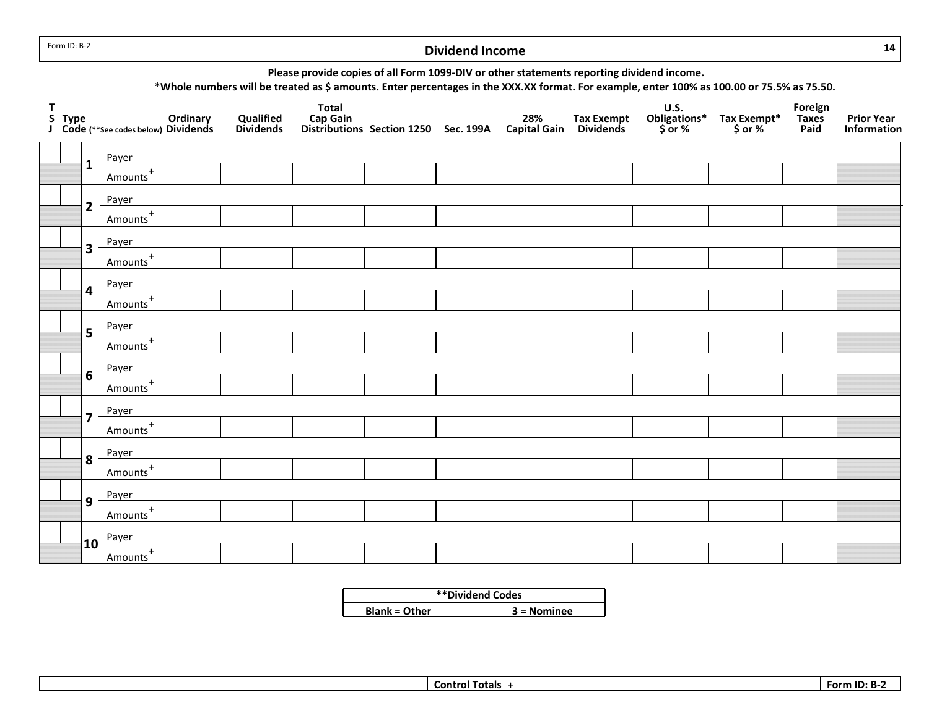Form ID: B‐2

#### **Dividend Income**

**14**

**Please provide copies of all Form 1099‐DIV or other statements reporting dividend income.**

\*Whole numbers will be treated as \$ amounts. Enter percentages in the XXX.XX format. For example, enter 100% as 100.00 or 75.5% as 75.50.

| T |                         | S Type Ordinary<br>J Code (**See codes below) Dividends | Qualified<br><b>Dividends</b> | <b>Total</b> | Cap Gain<br>Distributions Section 1250 Sec. 199A Capital Gain Dividends |  | <b>U.S.</b><br>Obligations*<br>$$ or $ | Tax Exempt*<br>\$ or % | Foreign<br>Taxes<br>Paid | <b>Prior Year</b><br>Information |
|---|-------------------------|---------------------------------------------------------|-------------------------------|--------------|-------------------------------------------------------------------------|--|----------------------------------------|------------------------|--------------------------|----------------------------------|
|   |                         | Payer                                                   |                               |              |                                                                         |  |                                        |                        |                          |                                  |
|   | $\mathbf{1}$            | Amounts                                                 |                               |              |                                                                         |  |                                        |                        |                          |                                  |
|   | $\overline{2}$          | Payer                                                   |                               |              |                                                                         |  |                                        |                        |                          |                                  |
|   |                         | Amounts                                                 |                               |              |                                                                         |  |                                        |                        |                          |                                  |
|   | $\overline{\mathbf{3}}$ | Payer                                                   |                               |              |                                                                         |  |                                        |                        |                          |                                  |
|   |                         | Amounts                                                 |                               |              |                                                                         |  |                                        |                        |                          |                                  |
|   | 4                       | Payer                                                   |                               |              |                                                                         |  |                                        |                        |                          |                                  |
|   |                         | Amounts                                                 |                               |              |                                                                         |  |                                        |                        |                          |                                  |
|   | 5                       | Payer                                                   |                               |              |                                                                         |  |                                        |                        |                          |                                  |
|   |                         | Amounts                                                 |                               |              |                                                                         |  |                                        |                        |                          |                                  |
|   | 6                       | Payer                                                   |                               |              |                                                                         |  |                                        |                        |                          |                                  |
|   |                         | Amounts                                                 |                               |              |                                                                         |  |                                        |                        |                          |                                  |
|   | $\overline{\mathbf{z}}$ | Payer                                                   |                               |              |                                                                         |  |                                        |                        |                          |                                  |
|   |                         | Amounts                                                 |                               |              |                                                                         |  |                                        |                        |                          |                                  |
|   | 8                       | Payer                                                   |                               |              |                                                                         |  |                                        |                        |                          |                                  |
|   |                         | Amounts                                                 |                               |              |                                                                         |  |                                        |                        |                          |                                  |
|   | 9                       | Payer                                                   |                               |              |                                                                         |  |                                        |                        |                          |                                  |
|   |                         | Amounts                                                 |                               |              |                                                                         |  |                                        |                        |                          |                                  |
|   | 10                      | Payer                                                   |                               |              |                                                                         |  |                                        |                        |                          |                                  |
|   |                         | Amounts                                                 |                               |              |                                                                         |  |                                        |                        |                          |                                  |

| **Dividend Codes     |               |  |  |  |  |
|----------------------|---------------|--|--|--|--|
| <b>Blank = Other</b> | $3 =$ Nominee |  |  |  |  |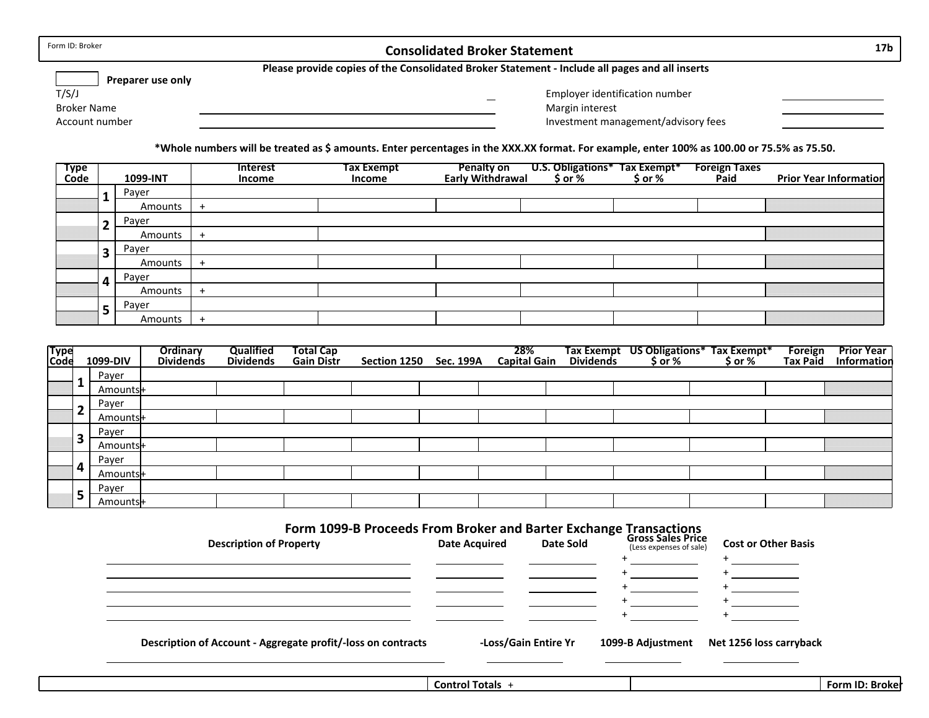| Form ID: Broker          | <b>Consolidated Broker Statement</b>                                                           | 17 <sub>b</sub> |
|--------------------------|------------------------------------------------------------------------------------------------|-----------------|
| <b>Preparer use only</b> | Please provide copies of the Consolidated Broker Statement - Include all pages and all inserts |                 |
| T/S/J                    | Employer identification number                                                                 |                 |
| Broker Name              | Margin interest                                                                                |                 |
| Account number           | Investment management/advisory fees                                                            |                 |

\*Whole numbers will be treated as \$ amounts. Enter percentages in the XXX.XX format. For example, enter 100% as 100.00 or 75.5% as 75.50.

| Type<br>Code |                         | 1099-INT | Interest<br>Income | <b>Tax Exempt</b><br>Income | Penalty on l<br>Early Withdrawal |  | <b>Foreign Taxes</b><br>Paid | <b>Prior Year Information</b> |
|--------------|-------------------------|----------|--------------------|-----------------------------|----------------------------------|--|------------------------------|-------------------------------|
|              |                         | Payer    |                    |                             |                                  |  |                              |                               |
|              |                         | Amounts  | $+$                |                             |                                  |  |                              |                               |
|              | $\overline{\mathbf{2}}$ | Payer    |                    |                             |                                  |  |                              |                               |
|              |                         | Amounts  | $^{+}$             |                             |                                  |  |                              |                               |
|              | 3                       | Payer    |                    |                             |                                  |  |                              |                               |
|              |                         | Amounts  | $^{+}$             |                             |                                  |  |                              |                               |
|              |                         | Payer    |                    |                             |                                  |  |                              |                               |
|              |                         | Amounts  | $+$                |                             |                                  |  |                              |                               |
|              | E.                      | Payer    |                    |                             |                                  |  |                              |                               |
|              | э                       | Amounts  | $+$                |                             |                                  |  |                              |                               |

| Type<br>Code |   | 1099-DIV | Ordinary<br><b>Dividends</b> | Qualified<br><b>Dividends</b> | <b>Total Cap</b><br><b>Gain Distr</b> | Section 1250 Sec. 199A | 28%<br><b>Capital Gain</b> |  | Tax Exempt US Obligations* Tax Exempt*<br>Dividends \$ or % \$ or % | <b>Foreign</b><br>Tax Paid | <b>Prior Year</b><br>Information |
|--------------|---|----------|------------------------------|-------------------------------|---------------------------------------|------------------------|----------------------------|--|---------------------------------------------------------------------|----------------------------|----------------------------------|
|              |   | Payer    |                              |                               |                                       |                        |                            |  |                                                                     |                            |                                  |
|              |   | Amounts+ |                              |                               |                                       |                        |                            |  |                                                                     |                            |                                  |
|              |   | Payer    |                              |                               |                                       |                        |                            |  |                                                                     |                            |                                  |
|              |   | Amounts+ |                              |                               |                                       |                        |                            |  |                                                                     |                            |                                  |
|              | ∍ | Payer    |                              |                               |                                       |                        |                            |  |                                                                     |                            |                                  |
|              |   | Amounts+ |                              |                               |                                       |                        |                            |  |                                                                     |                            |                                  |
|              |   | Payer    |                              |                               |                                       |                        |                            |  |                                                                     |                            |                                  |
|              | д | Amounts+ |                              |                               |                                       |                        |                            |  |                                                                     |                            |                                  |
|              |   | Payer    |                              |                               |                                       |                        |                            |  |                                                                     |                            |                                  |
|              | 5 | Amounts+ |                              |                               |                                       |                        |                            |  |                                                                     |                            |                                  |

#### **Form 1099‐B Proceeds From Broker and Barter Exchange Transactions**

| <b>Description of Property</b>                               | <b>Date Acquired</b> | Date Sold            | -<br><b>Gross Sales Price</b><br>(Less expenses of sale) | <b>Cost or Other Basis</b> |  |
|--------------------------------------------------------------|----------------------|----------------------|----------------------------------------------------------|----------------------------|--|
|                                                              |                      |                      |                                                          |                            |  |
|                                                              |                      |                      |                                                          |                            |  |
|                                                              |                      |                      |                                                          |                            |  |
|                                                              |                      |                      |                                                          |                            |  |
|                                                              |                      |                      |                                                          |                            |  |
| Description of Account - Aggregate profit/-loss on contracts |                      | -Loss/Gain Entire Yr | 1099-B Adjustment                                        | Net 1256 loss carryback    |  |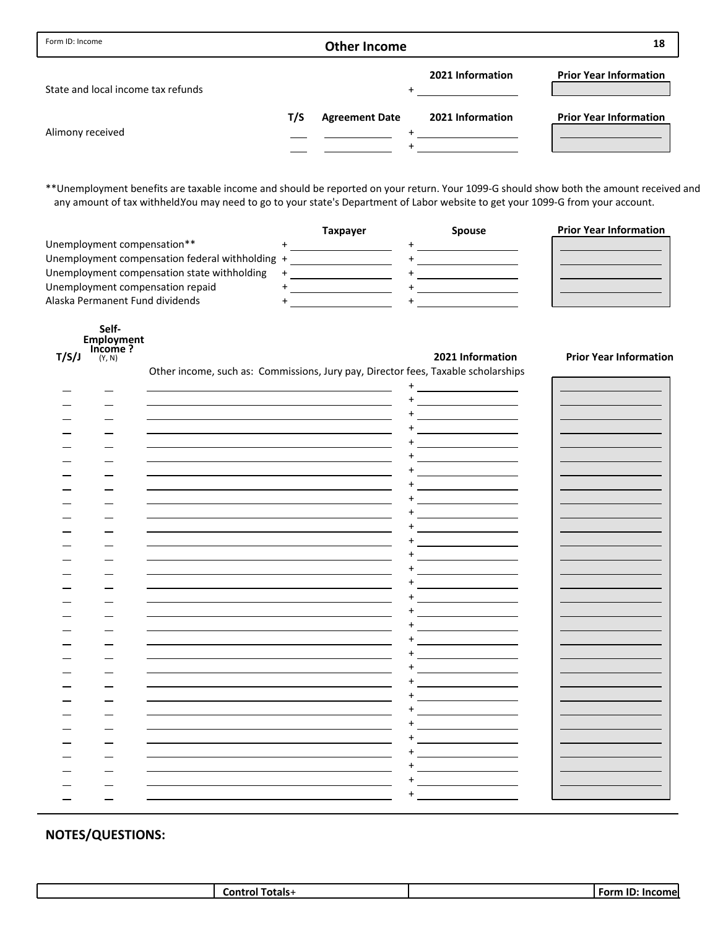| Form ID: Income                    |     | <b>Other Income</b>   |                  | 18                            |
|------------------------------------|-----|-----------------------|------------------|-------------------------------|
| State and local income tax refunds |     |                       | 2021 Information | <b>Prior Year Information</b> |
| Alimony received                   | T/S | <b>Agreement Date</b> | 2021 Information | <b>Prior Year Information</b> |

\*\*Unemployment benefits are taxable income and should be reported on your return. Your 1099‐G should show both the amount received and any amount of tax withheld.You may need to go to your state's Department of Labor website to get your 1099-G from your account.

|                                                 | <b>Taxpayer</b> | <b>Spouse</b> | <b>Prior Year Information</b> |
|-------------------------------------------------|-----------------|---------------|-------------------------------|
| Unemployment compensation**                     |                 |               |                               |
| Unemployment compensation federal withholding + |                 |               |                               |
| Unemployment compensation state withholding     |                 |               |                               |
| Unemployment compensation repaid                |                 |               |                               |
| Alaska Permanent Fund dividends                 |                 |               |                               |

|       | Self-             |
|-------|-------------------|
|       | <b>Employment</b> |
|       | Income?           |
| T/S/J | (Y, N)            |

Other income, such as: Commissions, Jury pay, Director fees, Taxable scholarships

## **NOTES/QUESTIONS:**

| Contro<br>.<br>otals-<br>. OL | $\sqrt{2}$<br>Form |
|-------------------------------|--------------------|
|                               |                    |

**Income ? T/S/J 2021 Information Prior Year Information**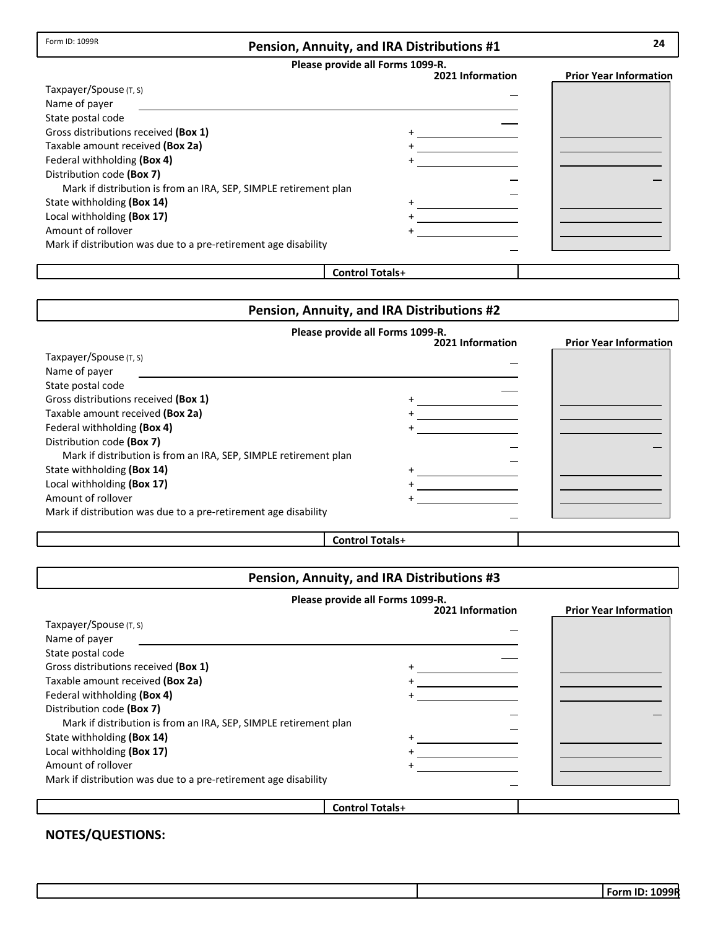| Please provide all Forms 1099-R. |  |  |  |  |
|----------------------------------|--|--|--|--|
|----------------------------------|--|--|--|--|

|                                                                  | 2021 Information | <b>Prior Year Information</b> |
|------------------------------------------------------------------|------------------|-------------------------------|
| Taxpayer/Spouse (T, S)                                           |                  |                               |
| Name of payer                                                    |                  |                               |
| State postal code                                                |                  |                               |
| Gross distributions received (Box 1)                             |                  |                               |
| Taxable amount received (Box 2a)                                 |                  |                               |
| Federal withholding (Box 4)                                      |                  |                               |
| Distribution code (Box 7)                                        |                  |                               |
| Mark if distribution is from an IRA, SEP, SIMPLE retirement plan |                  |                               |
| State withholding (Box 14)                                       |                  |                               |
| Local withholding (Box 17)                                       |                  |                               |
| Amount of rollover                                               |                  |                               |
| Mark if distribution was due to a pre-retirement age disability  |                  |                               |
|                                                                  |                  |                               |

## **Control Totals**+

## **Pension, Annuity, and IRA Distributions #2**

|                                                                  | Please provide all Forms 1099-R. |                               |
|------------------------------------------------------------------|----------------------------------|-------------------------------|
|                                                                  | 2021 Information                 | <b>Prior Year Information</b> |
| Taxpayer/Spouse (T, S)                                           |                                  |                               |
| Name of payer                                                    |                                  |                               |
| State postal code                                                |                                  |                               |
| Gross distributions received (Box 1)                             |                                  |                               |
| Taxable amount received (Box 2a)                                 |                                  |                               |
| Federal withholding (Box 4)                                      |                                  |                               |
| Distribution code (Box 7)                                        |                                  |                               |
| Mark if distribution is from an IRA, SEP, SIMPLE retirement plan |                                  |                               |
| State withholding (Box 14)                                       |                                  |                               |
| Local withholding (Box 17)                                       |                                  |                               |
| Amount of rollover                                               |                                  |                               |
| Mark if distribution was due to a pre-retirement age disability  |                                  |                               |
|                                                                  |                                  |                               |

**Control Totals**+

## **Pension, Annuity, and IRA Distributions #3**

|                                                                  | Please provide all Forms 1099-R. |                               |
|------------------------------------------------------------------|----------------------------------|-------------------------------|
|                                                                  | 2021 Information                 | <b>Prior Year Information</b> |
| Taxpayer/Spouse (T, S)                                           |                                  |                               |
| Name of payer                                                    |                                  |                               |
| State postal code                                                |                                  |                               |
| Gross distributions received (Box 1)                             |                                  |                               |
| Taxable amount received (Box 2a)                                 |                                  |                               |
| Federal withholding (Box 4)                                      |                                  |                               |
| Distribution code (Box 7)                                        |                                  |                               |
| Mark if distribution is from an IRA, SEP, SIMPLE retirement plan |                                  |                               |
| State withholding (Box 14)                                       |                                  |                               |
| Local withholding (Box 17)                                       |                                  |                               |
| Amount of rollover                                               |                                  |                               |
| Mark if distribution was due to a pre-retirement age disability  |                                  |                               |
|                                                                  |                                  |                               |
|                                                                  | <b>Control Totals+</b>           |                               |

## **NOTES/QUESTIONS:**

Form ID: 1099R

**24**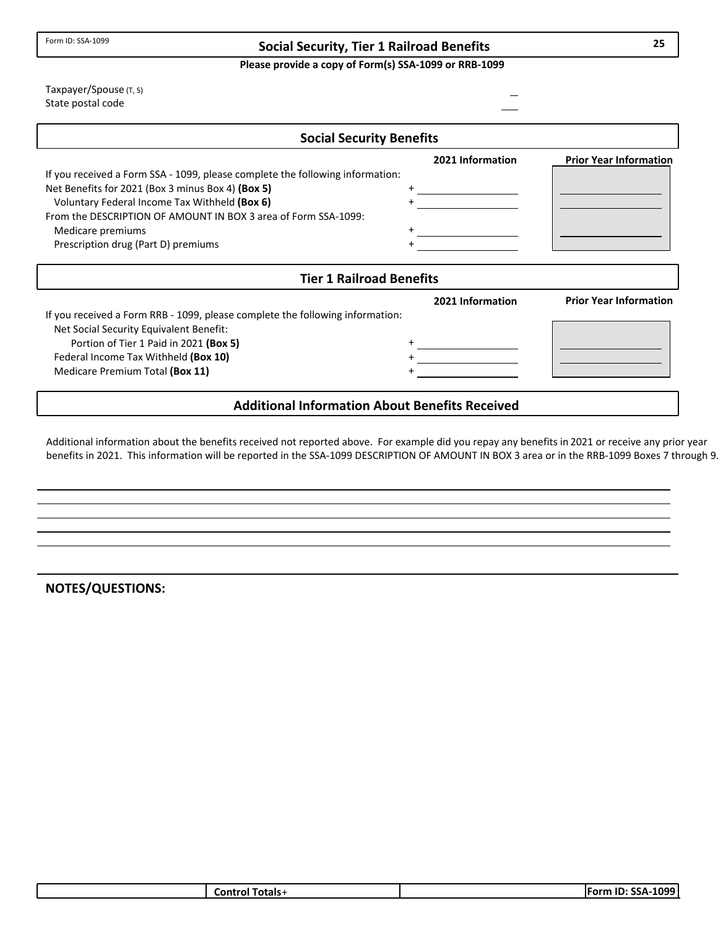### **Social Security, Tier 1 Railroad Benefits**

**Please provide a copy of Form(s) SSA‐1099 or RRB‐1099**

State postal code Taxpayer/Spouse (T, S)

| <b>Social Security Benefits</b>                                               |                  |                               |
|-------------------------------------------------------------------------------|------------------|-------------------------------|
|                                                                               | 2021 Information | <b>Prior Year Information</b> |
| If you received a Form SSA - 1099, please complete the following information: |                  |                               |
| Net Benefits for 2021 (Box 3 minus Box 4) (Box 5)                             |                  |                               |
| Voluntary Federal Income Tax Withheld (Box 6)                                 |                  |                               |
| From the DESCRIPTION OF AMOUNT IN BOX 3 area of Form SSA-1099:                |                  |                               |
| Medicare premiums                                                             |                  |                               |
| Prescription drug (Part D) premiums                                           |                  |                               |
|                                                                               |                  |                               |
| <b>Tier 1 Railroad Benefits</b>                                               |                  |                               |
|                                                                               | 2021 Information | <b>Prior Year Information</b> |
| If you received a Form RRB - 1099, please complete the following information: |                  |                               |
| Net Social Security Equivalent Benefit:                                       |                  |                               |
| Portion of Tier 1 Paid in 2021 (Box 5)                                        |                  |                               |
| Federal Income Tax Withheld (Box 10)                                          |                  |                               |
| Medicare Premium Total (Box 11)                                               |                  |                               |
|                                                                               |                  |                               |

### **Additional Information About Benefits Received**

Additional information about the benefits received not reported above. For example did you repay any benefits in 2021 or receive any prior year benefits in 2021. This information will be reported in the SSA-1099 DESCRIPTION OF AMOUNT IN BOX 3 area or in the RRB-1099 Boxes 7 through 9

**NOTES/QUESTIONS:**

| Totals+<br>Control <sup>-</sup> | -1099 l<br>Form ID: SSA- |
|---------------------------------|--------------------------|
|                                 |                          |

**25**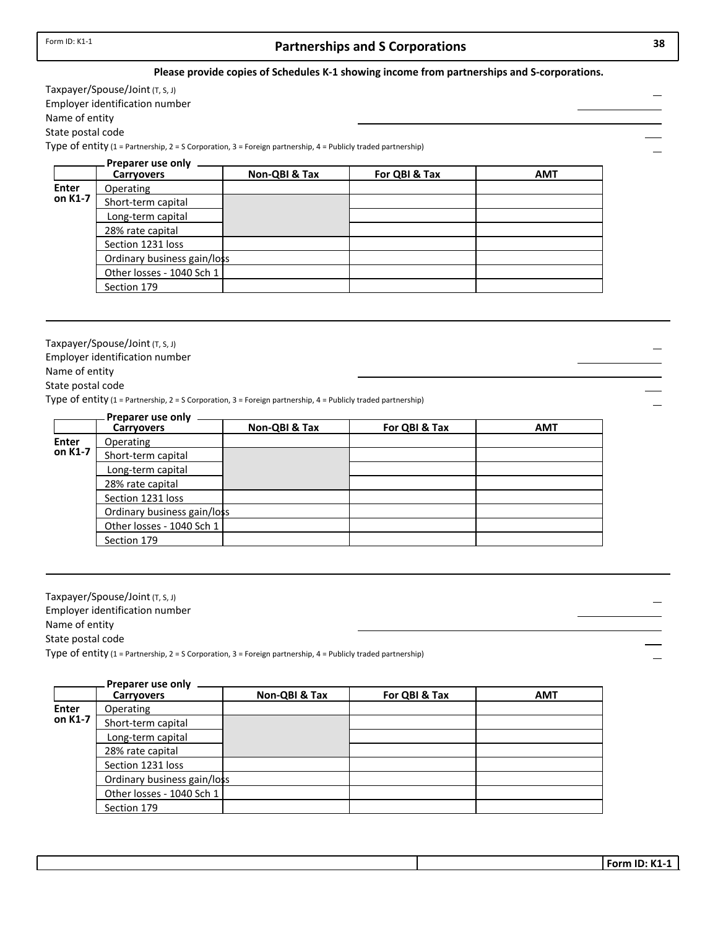## **Partnerships and S Corporations 38**

#### **Please provide copies of Schedules K‐1 showing income from partnerships and S‐corporations.**

Taxpayer/Spouse/Joint (T, S, J) Employer identification number Name of entity

State postal code

Type of entity (1 = Partnership, 2 = S Corporation, 3 = Foreign partnership, 4 = Publicly traded partnership)

| <b>Carryovers</b>         | Non-QBI & Tax     | For QBI & Tax               | <b>AMT</b> |
|---------------------------|-------------------|-----------------------------|------------|
| Operating                 |                   |                             |            |
| Short-term capital        |                   |                             |            |
| Long-term capital         |                   |                             |            |
| 28% rate capital          |                   |                             |            |
| Section 1231 loss         |                   |                             |            |
|                           |                   |                             |            |
| Other losses - 1040 Sch 1 |                   |                             |            |
| Section 179               |                   |                             |            |
|                           | Preparer use only | Ordinary business gain/loss |            |

Taxpayer/Spouse/Joint(T, S, J)

Employer identification number

Name of entity

State postal code

Type of entity (1 = Partnership, 2 = S Corporation, 3 = Foreign partnership, 4 = Publicly traded partnership)

|         | Preparer use only           |               |               |            |
|---------|-----------------------------|---------------|---------------|------------|
|         | <b>Carryovers</b>           | Non-QBI & Tax | For QBI & Tax | <b>AMT</b> |
| Enter   | Operating                   |               |               |            |
| on K1-7 | Short-term capital          |               |               |            |
|         | Long-term capital           |               |               |            |
|         | 28% rate capital            |               |               |            |
|         | Section 1231 loss           |               |               |            |
|         | Ordinary business gain/loss |               |               |            |
|         | Other losses - 1040 Sch 1   |               |               |            |
|         | Section 179                 |               |               |            |

Taxpayer/Spouse/Joint(T, S, J) Employer identification number Name of entity Type of entity (1 = Partnership, 2 = S Corporation, 3 = Foreign partnership, 4 = Publicly traded partnership) State postal code

|              | Preparer use only           |               |               |            |
|--------------|-----------------------------|---------------|---------------|------------|
|              | <b>Carryovers</b>           | Non-QBI & Tax | For QBI & Tax | <b>AMT</b> |
| <b>Enter</b> | <b>Operating</b>            |               |               |            |
| on K1-7      | Short-term capital          |               |               |            |
|              | Long-term capital           |               |               |            |
|              | 28% rate capital            |               |               |            |
|              | Section 1231 loss           |               |               |            |
|              | Ordinary business gain/loss |               |               |            |
|              | Other losses - 1040 Sch 1   |               |               |            |
|              | Section 179                 |               |               |            |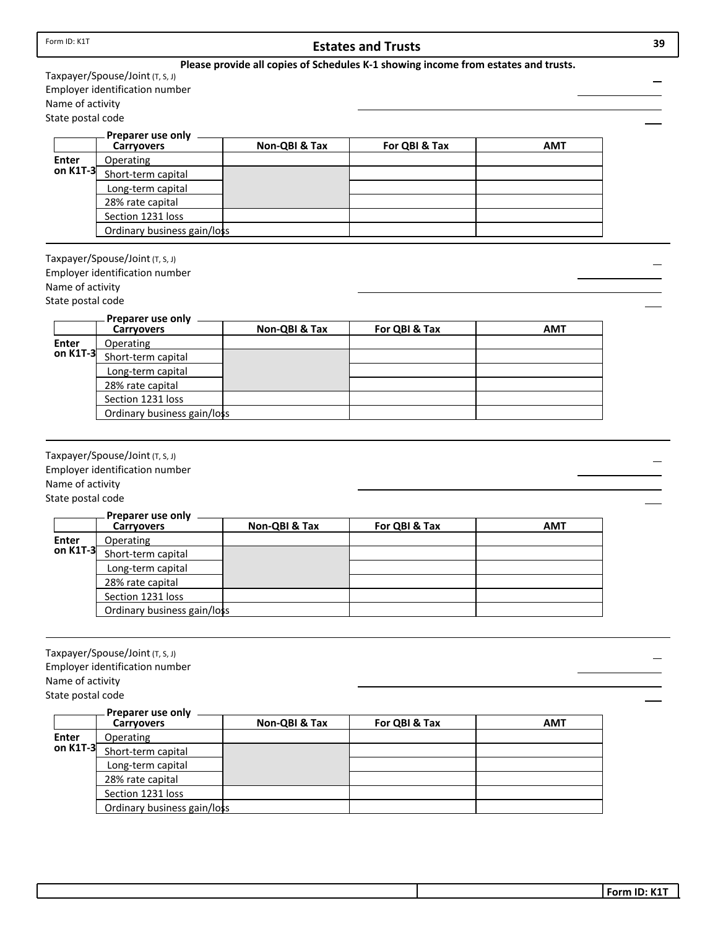| Form ID: K1T                          |                                        |               | <b>Estates and Trusts</b>                                                          |            | 39 |
|---------------------------------------|----------------------------------------|---------------|------------------------------------------------------------------------------------|------------|----|
|                                       |                                        |               | Please provide all copies of Schedules K-1 showing income from estates and trusts. |            |    |
|                                       | Taxpayer/Spouse/Joint (T, S, J)        |               |                                                                                    |            |    |
|                                       | Employer identification number         |               |                                                                                    |            |    |
| Name of activity                      |                                        |               |                                                                                    |            |    |
| State postal code                     |                                        |               |                                                                                    |            |    |
|                                       | Preparer use only                      |               |                                                                                    |            |    |
|                                       | <b>Carryovers</b>                      | Non-QBI & Tax | For QBI & Tax                                                                      | <b>AMT</b> |    |
| Enter<br>on K1T-3                     | Operating                              |               |                                                                                    |            |    |
|                                       | Short-term capital                     |               |                                                                                    |            |    |
|                                       | Long-term capital                      |               |                                                                                    |            |    |
|                                       | 28% rate capital                       |               |                                                                                    |            |    |
|                                       | Section 1231 loss                      |               |                                                                                    |            |    |
|                                       | Ordinary business gain/loss            |               |                                                                                    |            |    |
|                                       |                                        |               |                                                                                    |            |    |
|                                       | Taxpayer/Spouse/Joint (T, S, J)        |               |                                                                                    |            |    |
|                                       | Employer identification number         |               |                                                                                    |            |    |
| Name of activity                      |                                        |               |                                                                                    |            |    |
| State postal code                     |                                        |               |                                                                                    |            |    |
|                                       | Preparer use only<br><b>Carryovers</b> | Non-QBI & Tax | For QBI & Tax                                                                      | <b>AMT</b> |    |
| <b>Enter</b>                          | Operating                              |               |                                                                                    |            |    |
| on K1T-3                              | Short-term capital                     |               |                                                                                    |            |    |
|                                       | Long-term capital                      |               |                                                                                    |            |    |
|                                       | 28% rate capital                       |               |                                                                                    |            |    |
|                                       | Section 1231 loss                      |               |                                                                                    |            |    |
|                                       | Ordinary business gain/loss            |               |                                                                                    |            |    |
|                                       |                                        |               |                                                                                    |            |    |
|                                       |                                        |               |                                                                                    |            |    |
|                                       | Taxpayer/Spouse/Joint (T, S, J)        |               |                                                                                    |            |    |
|                                       | Employer identification number         |               |                                                                                    |            |    |
| Name of activity                      |                                        |               |                                                                                    |            |    |
| State postal code                     |                                        |               |                                                                                    |            |    |
|                                       | Preparer use only                      |               |                                                                                    |            |    |
|                                       | <b>Carryovers</b>                      | Non-QBI & Tax | For QBI & Tax                                                                      | <b>AMT</b> |    |
| <b>Enter</b>                          | Operating                              |               |                                                                                    |            |    |
| on K1T-3                              | Short-term capital                     |               |                                                                                    |            |    |
|                                       | Long-term capital                      |               |                                                                                    |            |    |
|                                       | 28% rate capital                       |               |                                                                                    |            |    |
|                                       | Section 1231 loss                      |               |                                                                                    |            |    |
|                                       | Ordinary business gain/loss            |               |                                                                                    |            |    |
|                                       |                                        |               |                                                                                    |            |    |
|                                       |                                        |               |                                                                                    |            |    |
|                                       | Taxpayer/Spouse/Joint (T, S, J)        |               |                                                                                    |            |    |
|                                       |                                        |               |                                                                                    |            |    |
|                                       | Employer identification number         |               |                                                                                    |            |    |
| Name of activity<br>State postal code |                                        |               |                                                                                    |            |    |

|          | Preparer use only<br><b>Carryovers</b> | Non-QBI & Tax | For QBI & Tax | <b>AMT</b> |
|----------|----------------------------------------|---------------|---------------|------------|
| Enter    | Operating                              |               |               |            |
| on K1T-3 | Short-term capital                     |               |               |            |
|          | Long-term capital                      |               |               |            |
|          | 28% rate capital                       |               |               |            |
|          | Section 1231 loss                      |               |               |            |
|          | Ordinary business gain/loss            |               |               |            |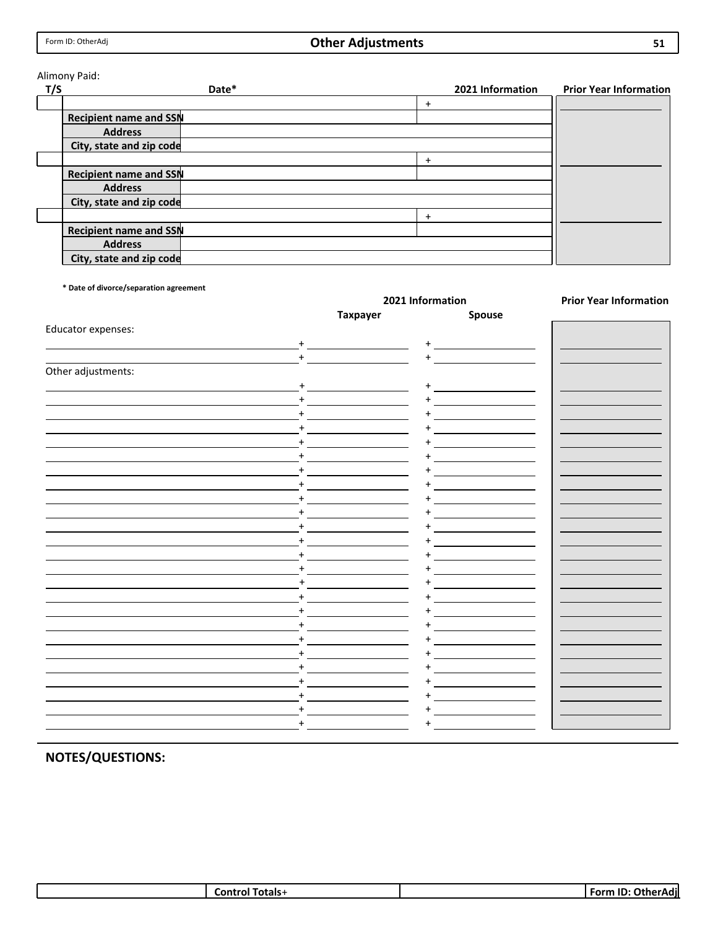## **Other Adjustments**

#### Alimony Paid:

| T/S | Date*                         | 2021 Information | <b>Prior Year Information</b> |
|-----|-------------------------------|------------------|-------------------------------|
|     |                               | $\ddot{}$        |                               |
|     | <b>Recipient name and SSN</b> |                  |                               |
|     | <b>Address</b>                |                  |                               |
|     | City, state and zip code      |                  |                               |
|     |                               | $\ddot{}$        |                               |
|     | <b>Recipient name and SSN</b> |                  |                               |
|     | <b>Address</b>                |                  |                               |
|     | City, state and zip code      |                  |                               |
|     |                               | $\ddot{}$        |                               |
|     | Recipient name and SSN        |                  |                               |
|     | <b>Address</b>                |                  |                               |
|     | City, state and zip code      |                  |                               |

**\* Date of divorce/separation agreement**

|                    | 2021 Information |           | <b>Prior Year Information</b> |  |
|--------------------|------------------|-----------|-------------------------------|--|
|                    | <b>Taxpayer</b>  | Spouse    |                               |  |
| Educator expenses: |                  |           |                               |  |
| $\ddot{}$          |                  | $\ddot{}$ |                               |  |
| $+$                |                  | $\ddot{}$ |                               |  |
| Other adjustments: |                  |           |                               |  |
| $+$                |                  | $\ddot{}$ |                               |  |
| $+$                |                  | $+$       |                               |  |
| $+$                |                  |           |                               |  |
|                    |                  |           |                               |  |
| +                  |                  |           |                               |  |
| $\ddot{}$          |                  |           |                               |  |
|                    |                  |           |                               |  |
| $\ddot{}$          |                  |           |                               |  |
|                    |                  |           |                               |  |
|                    |                  |           |                               |  |
| $+$                |                  |           |                               |  |
| $\ddot{}$          |                  |           |                               |  |
| $\ddot{}$          |                  |           |                               |  |
| $\ddot{}$          |                  |           |                               |  |
|                    |                  |           |                               |  |
| $\ddot{}$          |                  |           |                               |  |
|                    |                  |           |                               |  |
| $\ddot{}$          |                  |           |                               |  |
| $\ddot{}$          |                  |           |                               |  |
|                    |                  |           |                               |  |
| $\ddot{}$          |                  |           |                               |  |
|                    |                  |           |                               |  |
|                    |                  |           |                               |  |
| $\ddot{}$          |                  |           |                               |  |
|                    |                  |           |                               |  |

| otals-<br>-- | .<br>.<br>−ror"<br>ומר |
|--------------|------------------------|
|              |                        |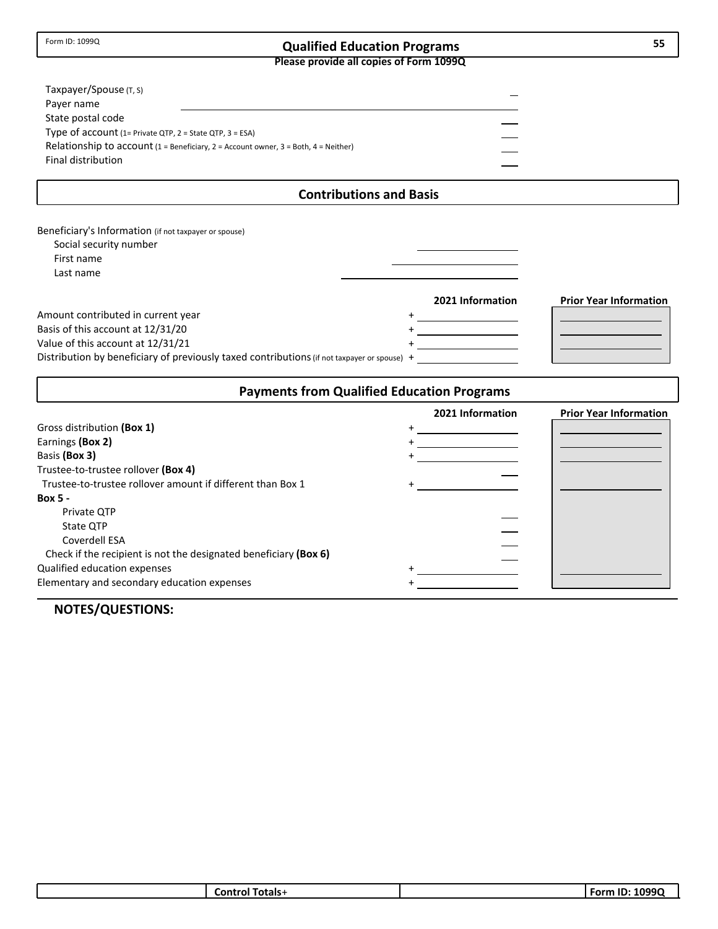## **Qualified Education Programs 55**

**Please provide all copies of Form 1099Q**

| Taxpayer/Spouse (T, S)<br>Payer name                     |                                                                                      |  |
|----------------------------------------------------------|--------------------------------------------------------------------------------------|--|
| State postal code                                        |                                                                                      |  |
| Type of $account(1=Private QTP, 2 = State QTP, 3 = ESA)$ |                                                                                      |  |
|                                                          | Relationship to $account(1 = Benedictary, 2 = Account owner, 3 = Both, 4 = Neither)$ |  |
| Final distribution                                       |                                                                                      |  |
|                                                          |                                                                                      |  |

## **Contributions and Basis**

| Beneficiary's Information (if not taxpayer or spouse)<br>Social security number<br>First name<br>Last name                                                                                                  |                  |                               |
|-------------------------------------------------------------------------------------------------------------------------------------------------------------------------------------------------------------|------------------|-------------------------------|
| Amount contributed in current year<br>Basis of this account at 12/31/20<br>Value of this account at 12/31/21<br>Distribution by beneficiary of previously taxed contributions (if not taxpayer or spouse) + | 2021 Information | <b>Prior Year Information</b> |

## **Payments from Qualified Education Programs**

|                                                                  | 2021 Information | <b>Prior Year Information</b> |
|------------------------------------------------------------------|------------------|-------------------------------|
| Gross distribution (Box 1)                                       |                  |                               |
| Earnings (Box 2)                                                 |                  |                               |
| Basis (Box 3)                                                    |                  |                               |
| Trustee-to-trustee rollover (Box 4)                              |                  |                               |
| Trustee-to-trustee rollover amount if different than Box 1       |                  |                               |
| <b>Box 5 -</b>                                                   |                  |                               |
| Private OTP                                                      |                  |                               |
| State OTP                                                        |                  |                               |
| Coverdell ESA                                                    |                  |                               |
| Check if the recipient is not the designated beneficiary (Box 6) |                  |                               |
| Qualified education expenses                                     |                  |                               |
| Elementary and secondary education expenses                      |                  |                               |

| ،1000<br>--<br>Totals-<br>Form<br>Control T |
|---------------------------------------------|
|---------------------------------------------|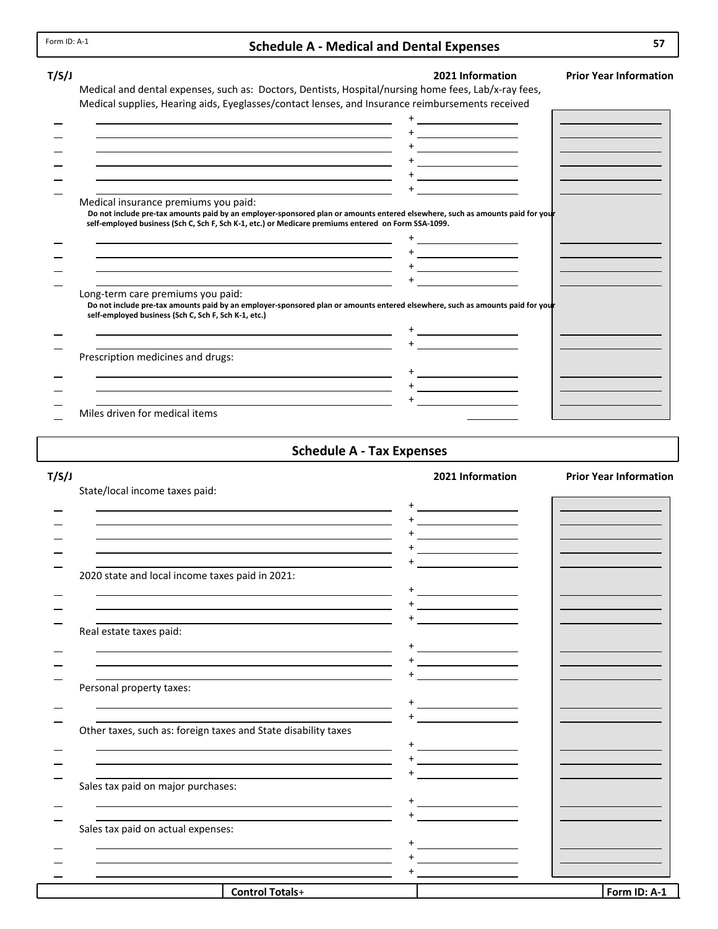#### **Schedule A ‐ Medical and Dental Expenses**

#### **T/S/J 2021 Information Prior Year Information** Medical and dental expenses, such as: Doctors, Dentists, Hospital/nursing home fees, Lab/x-ray fees, Medical supplies, Hearing aids, Eyeglasses/contact lenses, and Insurance reimbursements received + + + + + + Medical insurance premiums you paid: Do not include pre-tax amounts paid by an employer-sponsored plan or amounts entered elsewhere, such as amounts paid for your self-employed business (Sch C, Sch F, Sch K-1, etc.) or Medicare premiums entered on Form SSA-1099. + + + + Long‐term care premiums you paid: Do not include pre-tax amounts paid by an employer-sponsored plan or amounts entered elsewhere, such as amounts paid for your **self‐employed business (Sch C, Sch F, Sch K‐1, etc.)** + + Prescription medicines and drugs: + + +

Miles driven for medical items

#### **Schedule A ‐ Tax Expenses**

| T/S/J                                                                                                                                                                                                                         |                                                                                                                      | 2021 Information | <b>Prior Year Information</b> |
|-------------------------------------------------------------------------------------------------------------------------------------------------------------------------------------------------------------------------------|----------------------------------------------------------------------------------------------------------------------|------------------|-------------------------------|
| State/local income taxes paid:                                                                                                                                                                                                |                                                                                                                      |                  |                               |
|                                                                                                                                                                                                                               |                                                                                                                      |                  |                               |
| the control of the control of the control of the control of the control of the control of the control of the control of the control of the control of the control of the control of the control of the control of the control |                                                                                                                      |                  |                               |
|                                                                                                                                                                                                                               |                                                                                                                      |                  |                               |
|                                                                                                                                                                                                                               |                                                                                                                      |                  |                               |
| 2020 state and local income taxes paid in 2021:                                                                                                                                                                               |                                                                                                                      |                  |                               |
| <u> 1989 - Andrea Barbara, Amerikaansk politiker (d. 1989)</u><br>and the control of the control of the control of the control of the control of the control of the control of the                                            |                                                                                                                      |                  |                               |
|                                                                                                                                                                                                                               |                                                                                                                      |                  |                               |
| Real estate taxes paid:                                                                                                                                                                                                       |                                                                                                                      |                  |                               |
| and the control of the control of the control of the control of the control of the control of the control of the                                                                                                              |                                                                                                                      |                  |                               |
|                                                                                                                                                                                                                               |                                                                                                                      |                  |                               |
| Personal property taxes:                                                                                                                                                                                                      |                                                                                                                      |                  |                               |
| <u> 1989 - Johann Stoff, deutscher Stoffen und der Stoffen und der Stoffen und der Stoffen und der Stoffen und der</u>                                                                                                        |                                                                                                                      |                  |                               |
| Other taxes, such as: foreign taxes and State disability taxes                                                                                                                                                                |                                                                                                                      |                  |                               |
|                                                                                                                                                                                                                               | <u> 1980 - Jan Samuel Barbara, martin de la partida de la partida de la partida de la partida de la partida de l</u> |                  |                               |
|                                                                                                                                                                                                                               |                                                                                                                      |                  |                               |
| Sales tax paid on major purchases:                                                                                                                                                                                            |                                                                                                                      |                  |                               |
| and the control of the control of the control of the control of the control of the control of the control of the                                                                                                              |                                                                                                                      |                  |                               |
|                                                                                                                                                                                                                               |                                                                                                                      |                  |                               |
| Sales tax paid on actual expenses:                                                                                                                                                                                            |                                                                                                                      |                  |                               |
|                                                                                                                                                                                                                               |                                                                                                                      |                  |                               |
| the control of the control of the control of the control of the control of the control of the control of the control of the control of the control of the control of the control of the control of the control of the control |                                                                                                                      |                  |                               |
|                                                                                                                                                                                                                               |                                                                                                                      |                  |                               |
| <b>Control Totals+</b>                                                                                                                                                                                                        |                                                                                                                      |                  | Form ID: A-1                  |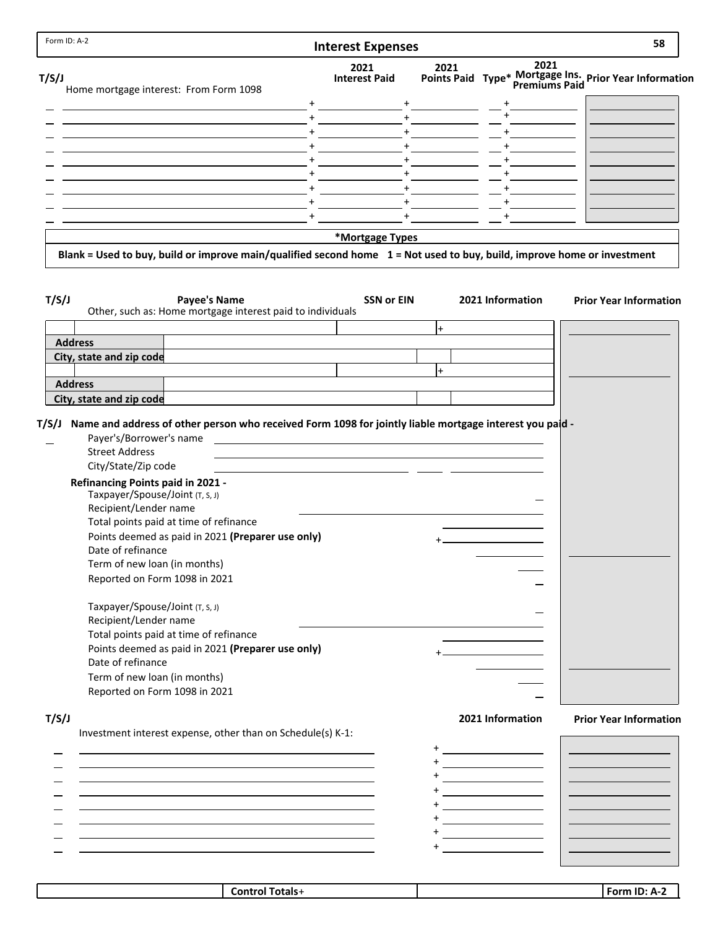| <b>Interest Expenses</b>                                    |                                                                                                                               |                                                                                                                                                                                                                                   | 58                                                                                                                                                                                                                                                                                                                                                                                                                                                                                                                                                                                                                                                                |
|-------------------------------------------------------------|-------------------------------------------------------------------------------------------------------------------------------|-----------------------------------------------------------------------------------------------------------------------------------------------------------------------------------------------------------------------------------|-------------------------------------------------------------------------------------------------------------------------------------------------------------------------------------------------------------------------------------------------------------------------------------------------------------------------------------------------------------------------------------------------------------------------------------------------------------------------------------------------------------------------------------------------------------------------------------------------------------------------------------------------------------------|
| 2021<br><b>Interest Paid</b>                                | 2021                                                                                                                          | 2021                                                                                                                                                                                                                              | Points Paid Type* Mortgage Ins. Prior Year Information                                                                                                                                                                                                                                                                                                                                                                                                                                                                                                                                                                                                            |
|                                                             |                                                                                                                               |                                                                                                                                                                                                                                   |                                                                                                                                                                                                                                                                                                                                                                                                                                                                                                                                                                                                                                                                   |
| $+$                                                         |                                                                                                                               |                                                                                                                                                                                                                                   |                                                                                                                                                                                                                                                                                                                                                                                                                                                                                                                                                                                                                                                                   |
| $+$                                                         |                                                                                                                               |                                                                                                                                                                                                                                   |                                                                                                                                                                                                                                                                                                                                                                                                                                                                                                                                                                                                                                                                   |
|                                                             |                                                                                                                               |                                                                                                                                                                                                                                   |                                                                                                                                                                                                                                                                                                                                                                                                                                                                                                                                                                                                                                                                   |
| $+$                                                         |                                                                                                                               |                                                                                                                                                                                                                                   |                                                                                                                                                                                                                                                                                                                                                                                                                                                                                                                                                                                                                                                                   |
|                                                             |                                                                                                                               |                                                                                                                                                                                                                                   |                                                                                                                                                                                                                                                                                                                                                                                                                                                                                                                                                                                                                                                                   |
|                                                             |                                                                                                                               |                                                                                                                                                                                                                                   |                                                                                                                                                                                                                                                                                                                                                                                                                                                                                                                                                                                                                                                                   |
| $+$                                                         |                                                                                                                               |                                                                                                                                                                                                                                   |                                                                                                                                                                                                                                                                                                                                                                                                                                                                                                                                                                                                                                                                   |
|                                                             |                                                                                                                               |                                                                                                                                                                                                                                   |                                                                                                                                                                                                                                                                                                                                                                                                                                                                                                                                                                                                                                                                   |
|                                                             |                                                                                                                               |                                                                                                                                                                                                                                   |                                                                                                                                                                                                                                                                                                                                                                                                                                                                                                                                                                                                                                                                   |
|                                                             |                                                                                                                               |                                                                                                                                                                                                                                   | <b>Prior Year Information</b>                                                                                                                                                                                                                                                                                                                                                                                                                                                                                                                                                                                                                                     |
|                                                             | $+$                                                                                                                           |                                                                                                                                                                                                                                   |                                                                                                                                                                                                                                                                                                                                                                                                                                                                                                                                                                                                                                                                   |
|                                                             |                                                                                                                               |                                                                                                                                                                                                                                   |                                                                                                                                                                                                                                                                                                                                                                                                                                                                                                                                                                                                                                                                   |
|                                                             |                                                                                                                               |                                                                                                                                                                                                                                   |                                                                                                                                                                                                                                                                                                                                                                                                                                                                                                                                                                                                                                                                   |
|                                                             |                                                                                                                               |                                                                                                                                                                                                                                   |                                                                                                                                                                                                                                                                                                                                                                                                                                                                                                                                                                                                                                                                   |
|                                                             |                                                                                                                               |                                                                                                                                                                                                                                   |                                                                                                                                                                                                                                                                                                                                                                                                                                                                                                                                                                                                                                                                   |
|                                                             |                                                                                                                               |                                                                                                                                                                                                                                   |                                                                                                                                                                                                                                                                                                                                                                                                                                                                                                                                                                                                                                                                   |
|                                                             |                                                                                                                               |                                                                                                                                                                                                                                   |                                                                                                                                                                                                                                                                                                                                                                                                                                                                                                                                                                                                                                                                   |
| Points deemed as paid in 2021 (Preparer use only)           |                                                                                                                               |                                                                                                                                                                                                                                   |                                                                                                                                                                                                                                                                                                                                                                                                                                                                                                                                                                                                                                                                   |
|                                                             |                                                                                                                               |                                                                                                                                                                                                                                   |                                                                                                                                                                                                                                                                                                                                                                                                                                                                                                                                                                                                                                                                   |
| Investment interest expense, other than on Schedule(s) K-1: |                                                                                                                               | 2021 Information                                                                                                                                                                                                                  |                                                                                                                                                                                                                                                                                                                                                                                                                                                                                                                                                                                                                                                                   |
|                                                             |                                                                                                                               |                                                                                                                                                                                                                                   | <b>Prior Year Information</b>                                                                                                                                                                                                                                                                                                                                                                                                                                                                                                                                                                                                                                     |
|                                                             |                                                                                                                               | <u> 1989 - Johann Barn, amerikansk politiker (</u>                                                                                                                                                                                |                                                                                                                                                                                                                                                                                                                                                                                                                                                                                                                                                                                                                                                                   |
|                                                             |                                                                                                                               | <u> 1980 - Johann Barn, mars ann an t-</u><br><u> 1989 - Johann Barn, amerikansk politiker (</u><br><u> 1989 - Johann Barnett, fransk politiker (</u>                                                                             |                                                                                                                                                                                                                                                                                                                                                                                                                                                                                                                                                                                                                                                                   |
|                                                             | $+$<br>$+$<br>Other, such as: Home mortgage interest paid to individuals<br>Points deemed as paid in 2021 (Preparer use only) | $\pm$ - $\pm$ - $\pm$<br>$+$<br>$+$<br>$+$<br>$+$<br>$+$<br>*Mortgage Types<br><b>SSN or EIN</b><br>$\ddot{}$<br><u> 1980 - Jan Salaman, mangang mga kalendar ng mga kalendar ng mga kalendar ng mga kalendar ng mga kalendar</u> | $\begin{picture}(20,20) \put(0,0){\dashbox{0.5}(5,0){ }} \put(15,0){\circle{10}} \put(15,0){\circle{10}} \put(15,0){\circle{10}} \put(15,0){\circle{10}} \put(15,0){\circle{10}} \put(15,0){\circle{10}} \put(15,0){\circle{10}} \put(15,0){\circle{10}} \put(15,0){\circle{10}} \put(15,0){\circle{10}} \put(15,0){\circle{10}} \put(15,0){\circle{10}} \put(15,0){\circle{10}} \put(15,0$<br>$+$ $ -$<br>Blank = Used to buy, build or improve main/qualified second home 1 = Not used to buy, build, improve home or investment<br>2021 Information<br>Name and address of other person who received Form 1098 for jointly liable mortgage interest you paid - |

| ⊺otals+<br>`ontrc | IN.<br>$  -$<br>Д. |
|-------------------|--------------------|
|                   |                    |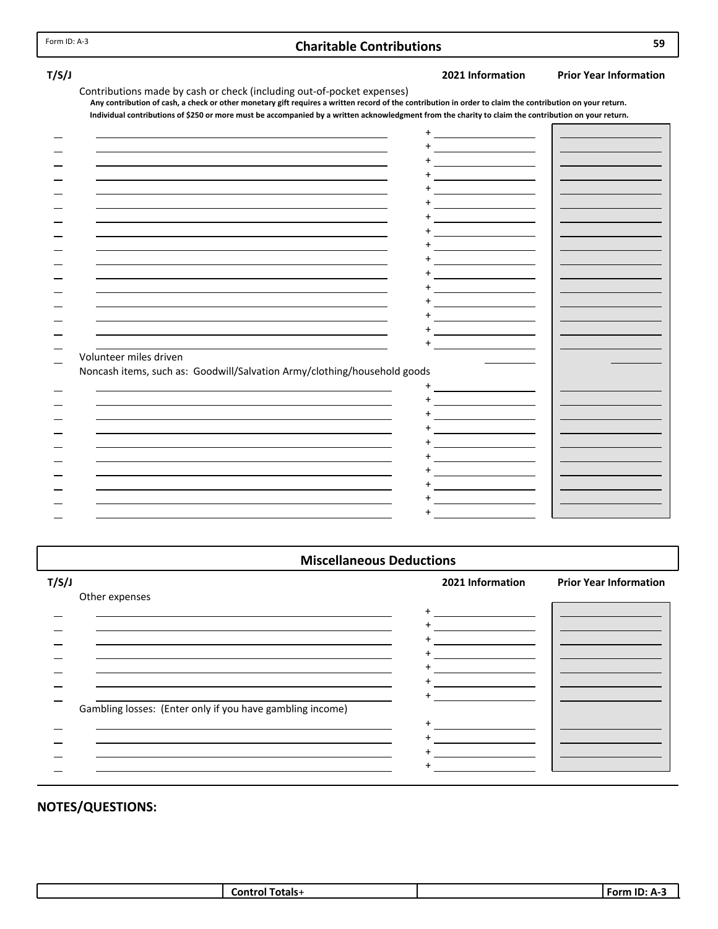### **Charitable Contributions 59**

**T/S/J 2021 Information Prior Year Information**

| Contributions made by cash or check (including out-of-pocket expenses)                                                                                    |
|-----------------------------------------------------------------------------------------------------------------------------------------------------------|
| Any contribution of cash, a check or other monetary gift requires a written record of the contribution in order to claim the contribution on your return. |
| Individual contributions of \$250 or more must be accompanied by a written acknowledgment from the charity to claim the contribution on your return.      |

|                                                                          | $\ddot{}$                |  |
|--------------------------------------------------------------------------|--------------------------|--|
|                                                                          |                          |  |
|                                                                          |                          |  |
|                                                                          |                          |  |
|                                                                          |                          |  |
|                                                                          |                          |  |
|                                                                          |                          |  |
|                                                                          |                          |  |
|                                                                          |                          |  |
|                                                                          |                          |  |
|                                                                          |                          |  |
|                                                                          |                          |  |
|                                                                          |                          |  |
|                                                                          |                          |  |
|                                                                          |                          |  |
|                                                                          |                          |  |
|                                                                          |                          |  |
| Volunteer miles driven                                                   |                          |  |
| Noncash items, such as: Goodwill/Salvation Army/clothing/household goods |                          |  |
|                                                                          |                          |  |
|                                                                          |                          |  |
|                                                                          | <b>Contract Contract</b> |  |
|                                                                          |                          |  |
|                                                                          |                          |  |
|                                                                          |                          |  |
|                                                                          |                          |  |
|                                                                          |                          |  |
|                                                                          |                          |  |
|                                                                          |                          |  |
|                                                                          |                          |  |
|                                                                          |                          |  |

**Miscellaneous Deductions**

| T/S/J                                                     | 2021 Information | <b>Prior Year Information</b> |
|-----------------------------------------------------------|------------------|-------------------------------|
| Other expenses                                            |                  |                               |
|                                                           | $\ddot{}$        |                               |
|                                                           |                  |                               |
|                                                           |                  |                               |
|                                                           |                  |                               |
|                                                           |                  |                               |
|                                                           |                  |                               |
| Gambling losses: (Enter only if you have gambling income) |                  |                               |
|                                                           |                  |                               |
|                                                           |                  |                               |
|                                                           |                  |                               |
|                                                           |                  |                               |

| ،fotals<br>m | m<br>-nrm |
|--------------|-----------|
|--------------|-----------|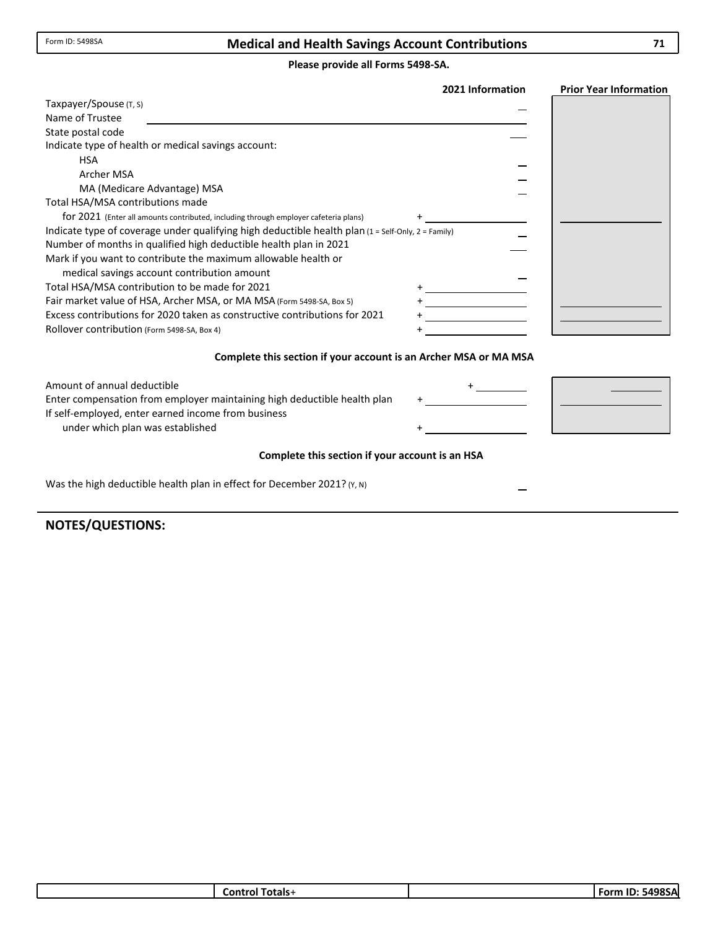### **Medical and Health Savings Account Contributions**

#### **Please provide all Forms 5498‐SA.**

|                                                                                                    | 2021 Information | <b>Prior Year Information</b> |
|----------------------------------------------------------------------------------------------------|------------------|-------------------------------|
| Taxpayer/Spouse (T, S)                                                                             |                  |                               |
| Name of Trustee                                                                                    |                  |                               |
| State postal code                                                                                  |                  |                               |
| Indicate type of health or medical savings account:                                                |                  |                               |
| <b>HSA</b>                                                                                         |                  |                               |
| Archer MSA                                                                                         |                  |                               |
| MA (Medicare Advantage) MSA                                                                        |                  |                               |
| Total HSA/MSA contributions made                                                                   |                  |                               |
| for 2021 (Enter all amounts contributed, including through employer cafeteria plans)               |                  |                               |
| Indicate type of coverage under qualifying high deductible health plan (1 = Self-Only, 2 = Family) |                  |                               |
| Number of months in qualified high deductible health plan in 2021                                  |                  |                               |
| Mark if you want to contribute the maximum allowable health or                                     |                  |                               |
| medical savings account contribution amount                                                        |                  |                               |
| Total HSA/MSA contribution to be made for 2021                                                     |                  |                               |
| Fair market value of HSA, Archer MSA, or MA MSA (Form 5498-SA, Box 5)                              |                  |                               |
| Excess contributions for 2020 taken as constructive contributions for 2021                         |                  |                               |
| Rollover contribution (Form 5498-SA, Box 4)                                                        |                  |                               |
|                                                                                                    |                  |                               |

#### **Complete this section if your account is an Archer MSA or MA MSA**

| Amount of annual deductible                                              |  |
|--------------------------------------------------------------------------|--|
| Enter compensation from employer maintaining high deductible health plan |  |
| If self-employed, enter earned income from business                      |  |
| under which plan was established                                         |  |

 $\mathbf{r}$ 

#### **Complete this section if your account is an HSA**

Was the high deductible health plan in effect for December 2021? (Y, N)

| Totals+<br>Control | ا ID: 5498SA<br>Form |
|--------------------|----------------------|
|                    |                      |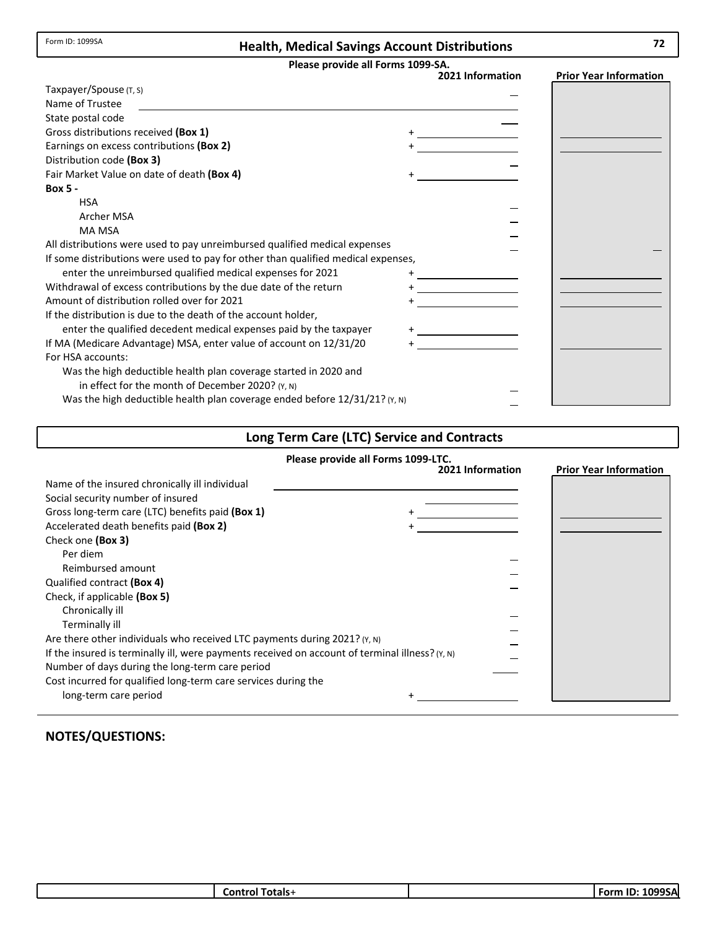Form ID: 1099SA

## **Health, Medical Savings Account Distributions 72**

**Please provide all Forms 1099‐SA.**

|                                                                                   | 2021 Information | <b>Prior Year Information</b> |
|-----------------------------------------------------------------------------------|------------------|-------------------------------|
| Taxpayer/Spouse (T, S)                                                            |                  |                               |
| Name of Trustee                                                                   |                  |                               |
| State postal code                                                                 |                  |                               |
| Gross distributions received (Box 1)                                              |                  |                               |
| Earnings on excess contributions (Box 2)                                          |                  |                               |
| Distribution code (Box 3)                                                         |                  |                               |
| Fair Market Value on date of death (Box 4)                                        |                  |                               |
| <b>Box 5 -</b>                                                                    |                  |                               |
| <b>HSA</b>                                                                        |                  |                               |
| <b>Archer MSA</b>                                                                 |                  |                               |
| <b>MA MSA</b>                                                                     |                  |                               |
| All distributions were used to pay unreimbursed qualified medical expenses        |                  |                               |
| If some distributions were used to pay for other than qualified medical expenses, |                  |                               |
| enter the unreimbursed qualified medical expenses for 2021                        |                  |                               |
| Withdrawal of excess contributions by the due date of the return                  |                  |                               |
| Amount of distribution rolled over for 2021                                       |                  |                               |
| If the distribution is due to the death of the account holder,                    |                  |                               |
| enter the qualified decedent medical expenses paid by the taxpayer                |                  |                               |
| If MA (Medicare Advantage) MSA, enter value of account on 12/31/20                |                  |                               |
| For HSA accounts:                                                                 |                  |                               |
| Was the high deductible health plan coverage started in 2020 and                  |                  |                               |
| in effect for the month of December 2020? $(Y, N)$                                |                  |                               |
| Was the high deductible health plan coverage ended before $12/31/21$ ? (Y, N)     |                  |                               |

## **Long Term Care (LTC) Service and Contracts**

|                                                                                                                                                                                                                                                                                                                                                                                                                                                                                                                                                                                     | Please provide all Forms 1099-LTC. |                               |
|-------------------------------------------------------------------------------------------------------------------------------------------------------------------------------------------------------------------------------------------------------------------------------------------------------------------------------------------------------------------------------------------------------------------------------------------------------------------------------------------------------------------------------------------------------------------------------------|------------------------------------|-------------------------------|
| Name of the insured chronically ill individual<br>Social security number of insured<br>Gross long-term care (LTC) benefits paid (Box 1)<br>Accelerated death benefits paid (Box 2)<br>Check one (Box 3)<br>Per diem<br>Reimbursed amount<br>Qualified contract (Box 4)<br>Check, if applicable (Box 5)<br>Chronically ill<br>Terminally ill<br>Are there other individuals who received LTC payments during $2021$ ? (Y, N)<br>If the insured is terminally ill, were payments received on account of terminal illness? $(Y, N)$<br>Number of days during the long-term care period | 2021 Information                   | <b>Prior Year Information</b> |
| Cost incurred for qualified long-term care services during the<br>long-term care period                                                                                                                                                                                                                                                                                                                                                                                                                                                                                             |                                    |                               |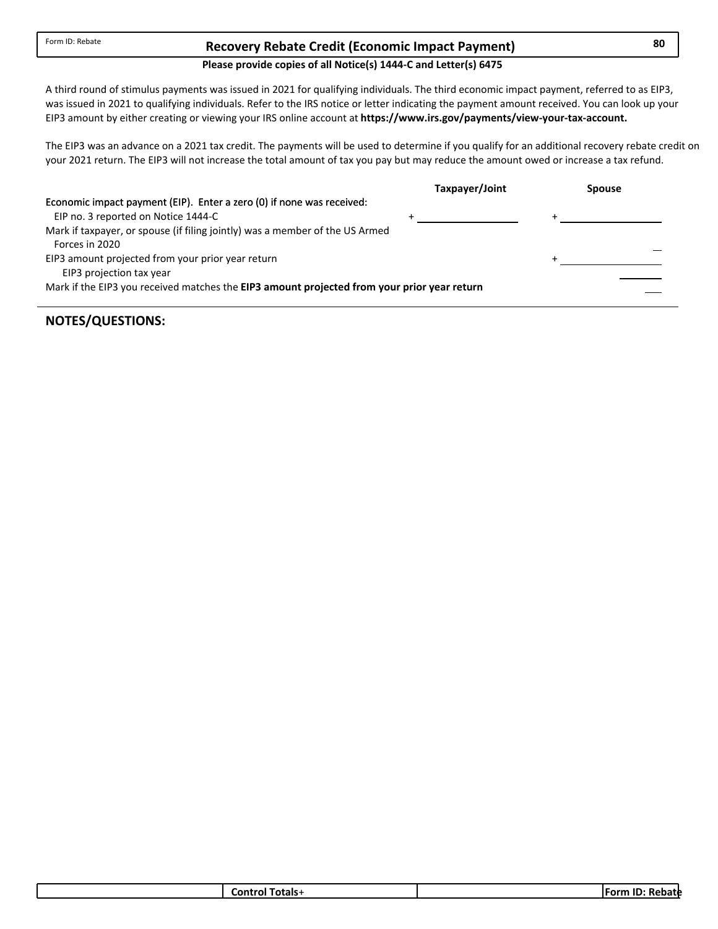## **Recovery Rebate Credit 80 (Economic Impact Payment)**

#### **Please provide copies of all Notice(s) 1444‐C and Letter(s) 6475**

was issued in 2021 to qualifying individuals. Refer to the IRS notice or letter indicating the payment amount received. You can look up your A third round of stimulus payments was issued in 2021 for qualifying individuals. The third economic impact payment, referred to as EIP3, EIP3 amount by either creating or viewing your IRS online account at **https://www.irs.gov/payments/view‐your‐tax‐account.**

The EIP3 was an advance on a 2021 tax credit. The payments will be used to determine if you qualify for an additional recovery rebate credit on your 2021 return. The EIP3 will not increase the total amount of tax you pay but may reduce the amount owed or increase a tax refund.

|                                                                                             | Taxpayer/Joint | <b>Spouse</b> |
|---------------------------------------------------------------------------------------------|----------------|---------------|
| Economic impact payment (EIP). Enter a zero (0) if none was received:                       |                |               |
| EIP no. 3 reported on Notice 1444-C                                                         |                |               |
| Mark if taxpayer, or spouse (if filing jointly) was a member of the US Armed                |                |               |
| Forces in 2020                                                                              |                |               |
| EIP3 amount projected from your prior year return                                           |                |               |
| EIP3 projection tax year                                                                    |                |               |
| Mark if the EIP3 you received matches the EIP3 amount projected from your prior year return |                |               |
|                                                                                             |                |               |

| fotals-<br>∟ontr∕<br>. OL 1 | . .<br><b>Form</b><br>- 11.<br>'Vdlt |
|-----------------------------|--------------------------------------|
|                             |                                      |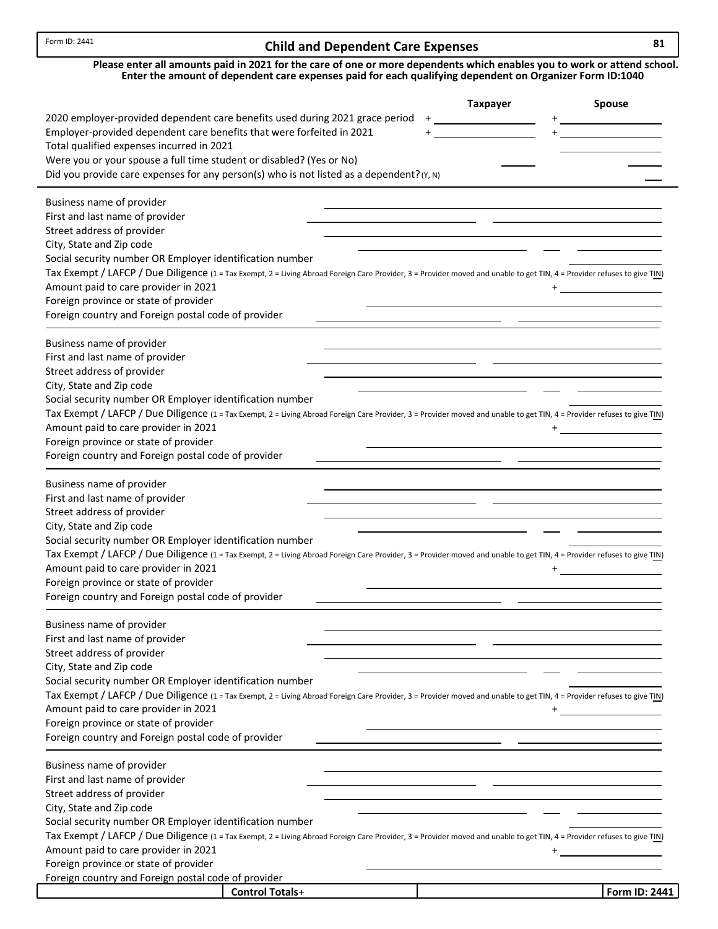# **Child and Dependent Care Expenses 81**

| Please enter all amounts paid in 2021 for the care of one or more dependents which enables you to work or attend school. |
|--------------------------------------------------------------------------------------------------------------------------|
| Enter the amount of dependent care expenses paid for each qualifying dependent on Organizer Form ID:1040                 |

|                                                                                                                                                                                                                                      | <b>Taxpayer</b> | <b>Spouse</b> |
|--------------------------------------------------------------------------------------------------------------------------------------------------------------------------------------------------------------------------------------|-----------------|---------------|
| 2020 employer-provided dependent care benefits used during 2021 grace period                                                                                                                                                         |                 |               |
| Employer-provided dependent care benefits that were forfeited in 2021                                                                                                                                                                |                 |               |
| Total qualified expenses incurred in 2021                                                                                                                                                                                            |                 |               |
| Were you or your spouse a full time student or disabled? (Yes or No)                                                                                                                                                                 |                 |               |
| Did you provide care expenses for any person(s) who is not listed as a dependent? (Y, N)                                                                                                                                             |                 |               |
|                                                                                                                                                                                                                                      |                 |               |
| Business name of provider                                                                                                                                                                                                            |                 |               |
| First and last name of provider                                                                                                                                                                                                      |                 |               |
| Street address of provider                                                                                                                                                                                                           |                 |               |
| City, State and Zip code                                                                                                                                                                                                             |                 |               |
| Social security number OR Employer identification number                                                                                                                                                                             |                 |               |
| Tax Exempt / LAFCP / Due Diligence (1 = Tax Exempt, 2 = Living Abroad Foreign Care Provider, 3 = Provider moved and unable to get TIN, 4 = Provider refuses to give TIN)                                                             |                 |               |
| Amount paid to care provider in 2021                                                                                                                                                                                                 |                 |               |
| Foreign province or state of provider                                                                                                                                                                                                |                 |               |
| Foreign country and Foreign postal code of provider                                                                                                                                                                                  |                 |               |
| Business name of provider                                                                                                                                                                                                            |                 |               |
| First and last name of provider                                                                                                                                                                                                      |                 |               |
| Street address of provider                                                                                                                                                                                                           |                 |               |
| City, State and Zip code                                                                                                                                                                                                             |                 |               |
| Social security number OR Employer identification number                                                                                                                                                                             |                 |               |
| Tax Exempt / LAFCP / Due Diligence (1 = Tax Exempt, 2 = Living Abroad Foreign Care Provider, 3 = Provider moved and unable to get TIN, 4 = Provider refuses to give TIN)                                                             |                 |               |
| Amount paid to care provider in 2021                                                                                                                                                                                                 |                 |               |
| Foreign province or state of provider                                                                                                                                                                                                |                 |               |
| Foreign country and Foreign postal code of provider                                                                                                                                                                                  |                 |               |
|                                                                                                                                                                                                                                      |                 |               |
| Business name of provider                                                                                                                                                                                                            |                 |               |
| First and last name of provider                                                                                                                                                                                                      |                 |               |
| Street address of provider                                                                                                                                                                                                           |                 |               |
| City, State and Zip code                                                                                                                                                                                                             |                 |               |
| Social security number OR Employer identification number<br>Tax Exempt / LAFCP / Due Diligence (1 = Tax Exempt, 2 = Living Abroad Foreign Care Provider, 3 = Provider moved and unable to get TIN, 4 = Provider refuses to give TIN) |                 |               |
| Amount paid to care provider in 2021                                                                                                                                                                                                 |                 |               |
| Foreign province or state of provider                                                                                                                                                                                                |                 |               |
| Foreign country and Foreign postal code of provider                                                                                                                                                                                  |                 |               |
|                                                                                                                                                                                                                                      |                 |               |
| Business name of provider                                                                                                                                                                                                            |                 |               |
| First and last name of provider                                                                                                                                                                                                      |                 |               |
| Street address of provider                                                                                                                                                                                                           |                 |               |
| City, State and Zip code                                                                                                                                                                                                             |                 |               |
| Social security number OR Employer identification number                                                                                                                                                                             |                 |               |
| Tax Exempt / LAFCP / Due Diligence (1 = Tax Exempt, 2 = Living Abroad Foreign Care Provider, 3 = Provider moved and unable to get TIN, 4 = Provider refuses to give TIN)                                                             |                 |               |
| Amount paid to care provider in 2021                                                                                                                                                                                                 |                 |               |
| Foreign province or state of provider                                                                                                                                                                                                |                 |               |
| Foreign country and Foreign postal code of provider                                                                                                                                                                                  |                 |               |
| Business name of provider                                                                                                                                                                                                            |                 |               |
| First and last name of provider                                                                                                                                                                                                      |                 |               |
| Street address of provider                                                                                                                                                                                                           |                 |               |
| City, State and Zip code                                                                                                                                                                                                             |                 |               |
| Social security number OR Employer identification number                                                                                                                                                                             |                 |               |
| Tax Exempt / LAFCP / Due Diligence (1 = Tax Exempt, 2 = Living Abroad Foreign Care Provider, 3 = Provider moved and unable to get TIN, 4 = Provider refuses to give TIN)                                                             |                 |               |
| Amount paid to care provider in 2021                                                                                                                                                                                                 | $\pm$           |               |
| Foreign province or state of provider                                                                                                                                                                                                |                 |               |
| Foreign country and Foreign postal code of provider                                                                                                                                                                                  |                 |               |
| <b>Control Totals+</b>                                                                                                                                                                                                               |                 | Form ID: 2441 |
|                                                                                                                                                                                                                                      |                 |               |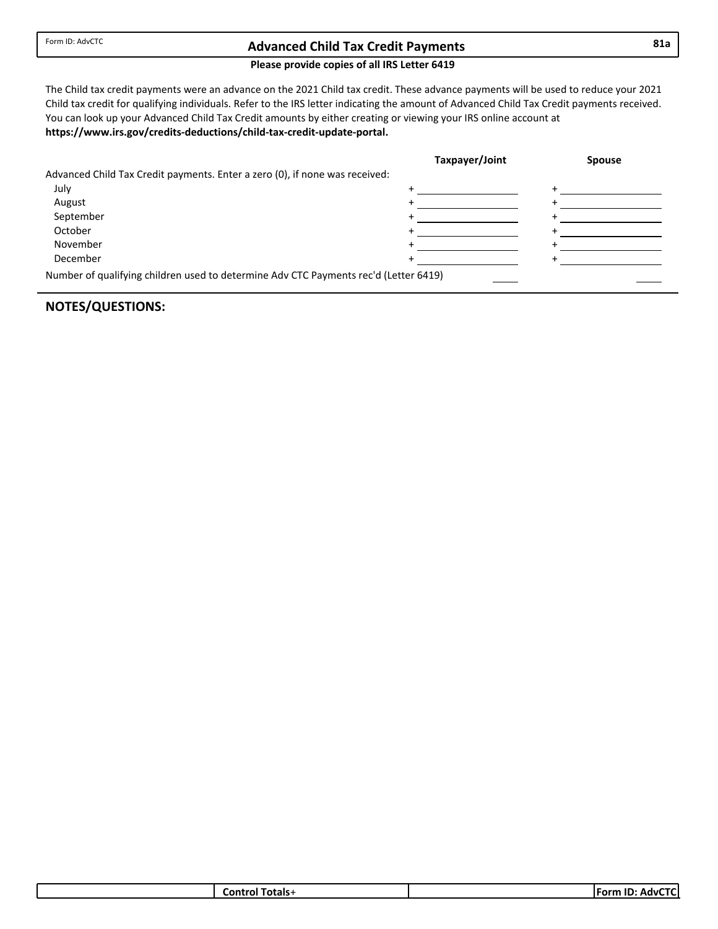## **Advanced Child 81a Tax Credit Payments**

#### **Please provide copies of all IRS Letter 6419**

The Child tax credit payments were an advance on the 2021 Child tax credit. These advance payments will be used to reduce your 2021 Child tax credit for qualifying individuals. Refer to the IRS letter indicating the amount of Advanced Child Tax Credit payments received. **https://www.irs.gov/credits‐deductions/child‐tax‐credit‐update‐portal.** You can look up your Advanced Child Tax Credit amounts by either creating or viewing your IRS online account at

|                                                                                      | Taxpayer/Joint | <b>Spouse</b> |
|--------------------------------------------------------------------------------------|----------------|---------------|
| Advanced Child Tax Credit payments. Enter a zero (0), if none was received:          |                |               |
| July                                                                                 |                |               |
| August                                                                               |                |               |
| September                                                                            |                |               |
| October                                                                              |                |               |
| November                                                                             |                |               |
| December                                                                             |                |               |
| Number of qualifying children used to determine Adv CTC Payments rec'd (Letter 6419) |                |               |

| .ontrc<br>™otals-<br>01 | -- -<br>$\overline{\phantom{a}}$<br>- -<br>∴For"<br>w<br>. |
|-------------------------|------------------------------------------------------------|
|                         |                                                            |